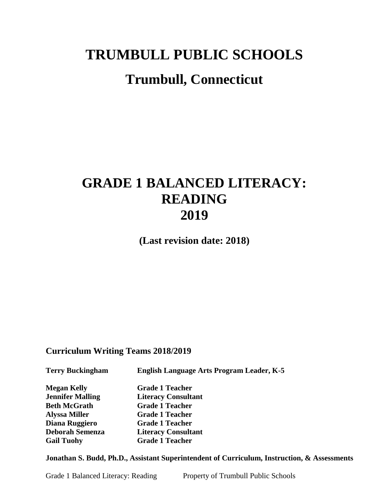# **TRUMBULL PUBLIC SCHOOLS**

# **Trumbull, Connecticut**

# **GRADE 1 BALANCED LITERACY: READING 2019**

**(Last revision date: 2018)**

## **Curriculum Writing Teams 2018/2019**

**Terry Buckingham English Language Arts Program Leader, K-5** 

**Megan Kelly Grade 1 Teacher Jennifer Malling Literacy Consultant Beth McGrath Grade 1 Teacher Alyssa Miller Grade 1 Teacher Diana Ruggiero Grade 1 Teacher Deborah Semenza Literacy Consultant Gail Tuohy Grade 1 Teacher**

**Jonathan S. Budd, Ph.D., Assistant Superintendent of Curriculum, Instruction, & Assessments**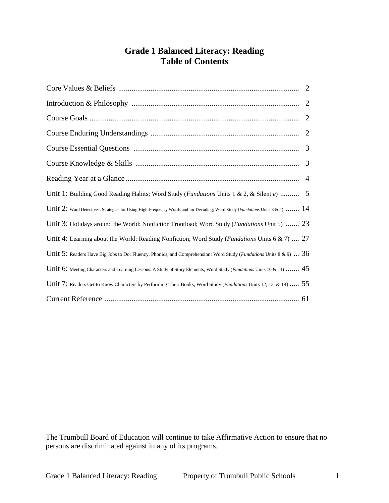# **Grade 1 Balanced Literacy: Reading Table of Contents**

|                                                                                                                               | 2 |
|-------------------------------------------------------------------------------------------------------------------------------|---|
|                                                                                                                               | 2 |
|                                                                                                                               | 2 |
|                                                                                                                               | 3 |
|                                                                                                                               | 3 |
|                                                                                                                               | 4 |
| Unit 1: Building Good Reading Habits; Word Study ( <i>Fundations</i> Units 1 & 2, & Silent e)  5                              |   |
| Unit 2: Word Detectives: Strategies for Using High-Frequency Words and for Decoding; Word Study (Fundations Units 3 & 4) $14$ |   |
| Unit 3: Holidays around the World: Nonfiction Frontload; Word Study ( <i>Fundations</i> Unit 5)  23                           |   |
| Unit 4: Learning about the World: Reading Nonfiction; Word Study (Fundations Units 6 & 7)  27                                 |   |
| Unit 5: Readers Have Big Jobs to Do: Fluency, Phonics, and Comprehension; Word Study ( <i>Fundations</i> Units 8 & 9) $36$    |   |
| Unit 6: Meeting Characters and Learning Lessons: A Study of Story Elements; Word Study (Fundations Units 10 & 11)  45         |   |
| Unit 7: Readers Get to Know Characters by Performing Their Books; Word Study ( <i>Fundations</i> Units 12, 13, & 14)  55      |   |
|                                                                                                                               |   |

The Trumbull Board of Education will continue to take Affirmative Action to ensure that no persons are discriminated against in any of its programs.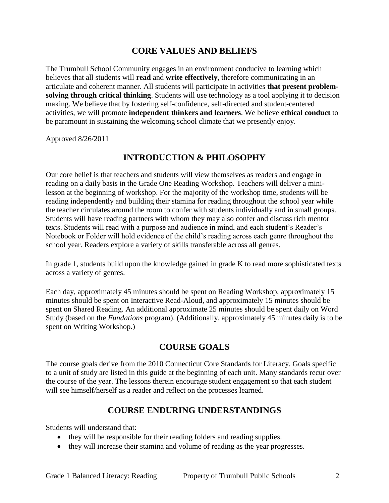# **CORE VALUES AND BELIEFS**

The Trumbull School Community engages in an environment conducive to learning which believes that all students will **read** and **write effectively**, therefore communicating in an articulate and coherent manner. All students will participate in activities **that present problemsolving through critical thinking**. Students will use technology as a tool applying it to decision making. We believe that by fostering self-confidence, self-directed and student-centered activities, we will promote **independent thinkers and learners**. We believe **ethical conduct** to be paramount in sustaining the welcoming school climate that we presently enjoy.

Approved 8/26/2011

## **INTRODUCTION & PHILOSOPHY**

Our core belief is that teachers and students will view themselves as readers and engage in reading on a daily basis in the Grade One Reading Workshop. Teachers will deliver a minilesson at the beginning of workshop. For the majority of the workshop time, students will be reading independently and building their stamina for reading throughout the school year while the teacher circulates around the room to confer with students individually and in small groups. Students will have reading partners with whom they may also confer and discuss rich mentor texts. Students will read with a purpose and audience in mind, and each student's Reader's Notebook or Folder will hold evidence of the child's reading across each genre throughout the school year. Readers explore a variety of skills transferable across all genres.

In grade 1, students build upon the knowledge gained in grade K to read more sophisticated texts across a variety of genres.

Each day, approximately 45 minutes should be spent on Reading Workshop, approximately 15 minutes should be spent on Interactive Read-Aloud, and approximately 15 minutes should be spent on Shared Reading. An additional approximate 25 minutes should be spent daily on Word Study (based on the *Fundations* program). (Additionally, approximately 45 minutes daily is to be spent on Writing Workshop.)

# **COURSE GOALS**

The course goals derive from the 2010 Connecticut Core Standards for Literacy. Goals specific to a unit of study are listed in this guide at the beginning of each unit. Many standards recur over the course of the year. The lessons therein encourage student engagement so that each student will see himself/herself as a reader and reflect on the processes learned.

# **COURSE ENDURING UNDERSTANDINGS**

Students will understand that:

- they will be responsible for their reading folders and reading supplies.
- they will increase their stamina and volume of reading as the year progresses.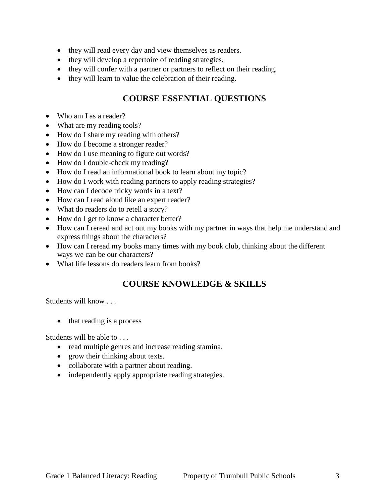- they will read every day and view themselves as readers.
- they will develop a repertoire of reading strategies.
- they will confer with a partner or partners to reflect on their reading.
- they will learn to value the celebration of their reading.

# **COURSE ESSENTIAL QUESTIONS**

- Who am I as a reader?
- What are my reading tools?
- How do I share my reading with others?
- How do I become a stronger reader?
- How do I use meaning to figure out words?
- How do I double-check my reading?
- How do I read an informational book to learn about my topic?
- How do I work with reading partners to apply reading strategies?
- How can I decode tricky words in a text?
- How can I read aloud like an expert reader?
- What do readers do to retell a story?
- How do I get to know a character better?
- How can I reread and act out my books with my partner in ways that help me understand and express things about the characters?
- How can I reread my books many times with my book club, thinking about the different ways we can be our characters?
- What life lessons do readers learn from books?

# **COURSE KNOWLEDGE & SKILLS**

Students will know . . .

• that reading is a process

Students will be able to . . .

- read multiple genres and increase reading stamina.
- grow their thinking about texts.
- collaborate with a partner about reading.
- independently apply appropriate reading strategies.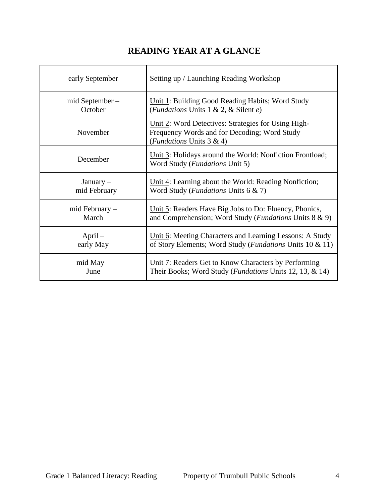# **READING YEAR AT A GLANCE**

| early September     | Setting up / Launching Reading Workshop                                                                                         |
|---------------------|---------------------------------------------------------------------------------------------------------------------------------|
| $mid$ September $-$ | Unit 1: Building Good Reading Habits; Word Study                                                                                |
| October             | (Fundations Units 1 & 2, & Silent e)                                                                                            |
| November            | Unit 2: Word Detectives: Strategies for Using High-<br>Frequency Words and for Decoding; Word Study<br>(Fundations Units 3 & 4) |
| December            | Unit 3: Holidays around the World: Nonfiction Frontload;<br>Word Study ( <i>Fundations</i> Unit 5)                              |
| $January -$         | Unit 4: Learning about the World: Reading Nonfiction;                                                                           |
| mid February        | Word Study ( <i>Fundations</i> Units 6 & 7)                                                                                     |
| mid February -      | Unit 5: Readers Have Big Jobs to Do: Fluency, Phonics,                                                                          |
| March               | and Comprehension; Word Study (Fundations Units 8 & 9)                                                                          |
| $April -$           | Unit 6: Meeting Characters and Learning Lessons: A Study                                                                        |
| early May           | of Story Elements; Word Study (Fundations Units 10 & 11)                                                                        |
| $mid May -$         | Unit 7: Readers Get to Know Characters by Performing                                                                            |
| June                | Their Books; Word Study ( <i>Fundations Units 12, 13, &amp; 14</i> )                                                            |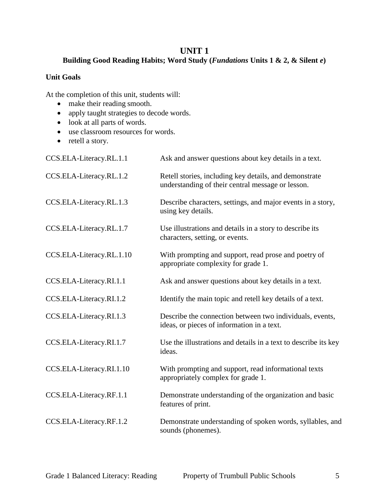## **UNIT 1**

## **Building Good Reading Habits; Word Study (***Fundations* **Units 1 & 2, & Silent** *e***)**

## **Unit Goals**

- make their reading smooth.
- apply taught strategies to decode words.
- look at all parts of words.
- use classroom resources for words.
- retell a story.

| CCS.ELA-Literacy.RL.1.1  | Ask and answer questions about key details in a text.                                                       |
|--------------------------|-------------------------------------------------------------------------------------------------------------|
| CCS.ELA-Literacy.RL.1.2  | Retell stories, including key details, and demonstrate<br>understanding of their central message or lesson. |
| CCS.ELA-Literacy.RL.1.3  | Describe characters, settings, and major events in a story,<br>using key details.                           |
| CCS.ELA-Literacy.RL.1.7  | Use illustrations and details in a story to describe its<br>characters, setting, or events.                 |
| CCS.ELA-Literacy.RL.1.10 | With prompting and support, read prose and poetry of<br>appropriate complexity for grade 1.                 |
| CCS.ELA-Literacy.RI.1.1  | Ask and answer questions about key details in a text.                                                       |
| CCS.ELA-Literacy.RI.1.2  | Identify the main topic and retell key details of a text.                                                   |
| CCS.ELA-Literacy.RI.1.3  | Describe the connection between two individuals, events,<br>ideas, or pieces of information in a text.      |
| CCS.ELA-Literacy.RI.1.7  | Use the illustrations and details in a text to describe its key<br>ideas.                                   |
| CCS.ELA-Literacy.RI.1.10 | With prompting and support, read informational texts<br>appropriately complex for grade 1.                  |
| CCS.ELA-Literacy.RF.1.1  | Demonstrate understanding of the organization and basic<br>features of print.                               |
| CCS.ELA-Literacy.RF.1.2  | Demonstrate understanding of spoken words, syllables, and<br>sounds (phonemes).                             |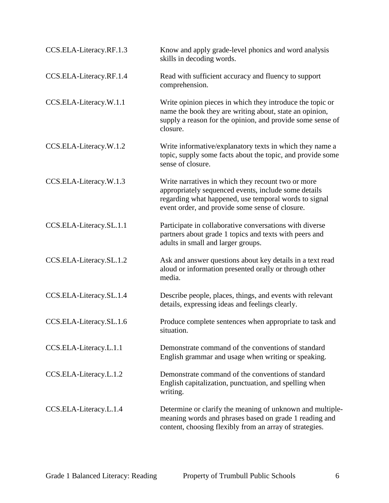| CCS.ELA-Literacy.RF.1.3 | Know and apply grade-level phonics and word analysis<br>skills in decoding words.                                                                                                                                      |
|-------------------------|------------------------------------------------------------------------------------------------------------------------------------------------------------------------------------------------------------------------|
| CCS.ELA-Literacy.RF.1.4 | Read with sufficient accuracy and fluency to support<br>comprehension.                                                                                                                                                 |
| CCS.ELA-Literacy.W.1.1  | Write opinion pieces in which they introduce the topic or<br>name the book they are writing about, state an opinion,<br>supply a reason for the opinion, and provide some sense of<br>closure.                         |
| CCS.ELA-Literacy.W.1.2  | Write informative/explanatory texts in which they name a<br>topic, supply some facts about the topic, and provide some<br>sense of closure.                                                                            |
| CCS.ELA-Literacy.W.1.3  | Write narratives in which they recount two or more<br>appropriately sequenced events, include some details<br>regarding what happened, use temporal words to signal<br>event order, and provide some sense of closure. |
| CCS.ELA-Literacy.SL.1.1 | Participate in collaborative conversations with diverse<br>partners about grade 1 topics and texts with peers and<br>adults in small and larger groups.                                                                |
| CCS.ELA-Literacy.SL.1.2 | Ask and answer questions about key details in a text read<br>aloud or information presented orally or through other<br>media.                                                                                          |
| CCS.ELA-Literacy.SL.1.4 | Describe people, places, things, and events with relevant<br>details, expressing ideas and feelings clearly.                                                                                                           |
| CCS.ELA-Literacy.SL.1.6 | Produce complete sentences when appropriate to task and<br>situation.                                                                                                                                                  |
| CCS.ELA-Literacy.L.1.1  | Demonstrate command of the conventions of standard<br>English grammar and usage when writing or speaking.                                                                                                              |
| CCS.ELA-Literacy.L.1.2  | Demonstrate command of the conventions of standard<br>English capitalization, punctuation, and spelling when<br>writing.                                                                                               |
| CCS.ELA-Literacy.L.1.4  | Determine or clarify the meaning of unknown and multiple-<br>meaning words and phrases based on grade 1 reading and<br>content, choosing flexibly from an array of strategies.                                         |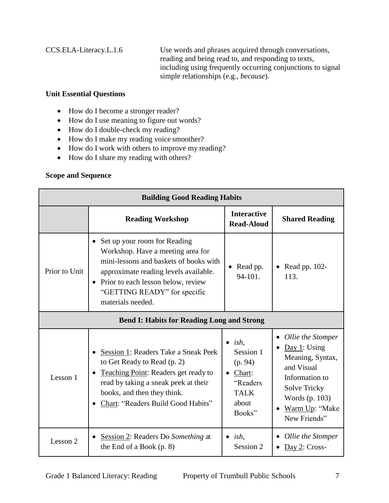CCS.ELA-Literacy.L.1.6 Use words and phrases acquired through conversations, reading and being read to, and responding to texts, including using frequently occurring conjunctions to signal simple relationships (e.g., *because*).

## **Unit Essential Questions**

- How do I become a stronger reader?
- How do I use meaning to figure out words?
- How do I double-check my reading?
- How do I make my reading voice smoother?
- How do I work with others to improve my reading?
- How do I share my reading with others?

## **Scope and Sequence**

| <b>Building Good Reading Habits</b>               |                                                                                                                                                                                                                                                   |                                                                                                                |                                                                                                                                                                                          |
|---------------------------------------------------|---------------------------------------------------------------------------------------------------------------------------------------------------------------------------------------------------------------------------------------------------|----------------------------------------------------------------------------------------------------------------|------------------------------------------------------------------------------------------------------------------------------------------------------------------------------------------|
|                                                   | <b>Reading Workshop</b>                                                                                                                                                                                                                           | <b>Interactive</b><br><b>Read-Aloud</b>                                                                        | <b>Shared Reading</b>                                                                                                                                                                    |
| Prior to Unit                                     | Set up your room for Reading<br>Workshop. Have a meeting area for<br>mini-lessons and baskets of books with<br>approximate reading levels available.<br>• Prior to each lesson below, review<br>"GETTING READY" for specific<br>materials needed. | Read pp.<br>94-101.                                                                                            | Read pp. 102-<br>113.                                                                                                                                                                    |
| <b>Bend I: Habits for Reading Long and Strong</b> |                                                                                                                                                                                                                                                   |                                                                                                                |                                                                                                                                                                                          |
| Lesson 1                                          | Session 1: Readers Take a Sneak Peek<br>to Get Ready to Read (p. 2)<br>Teaching Point: Readers get ready to<br>$\bullet$<br>read by taking a sneak peek at their<br>books, and then they think.<br>Chart: "Readers Build Good Habits"             | ish,<br>$\bullet$<br>Session 1<br>(p. 94)<br>Chart:<br>$\bullet$<br>"Readers<br><b>TALK</b><br>about<br>Books" | Ollie the Stomper<br>٠<br>Day 1: Using<br>$\bullet$<br>Meaning, Syntax,<br>and Visual<br>Information to<br>Solve Tricky<br>Words (p. 103)<br>Warm Up: "Make<br>$\bullet$<br>New Friends" |
| Lesson 2                                          | Session 2: Readers Do Something at<br>$\bullet$<br>the End of a Book $(p. 8)$                                                                                                                                                                     | $\bullet$ ish,<br>Session 2                                                                                    | Ollie the Stomper<br>$Day 2: Cross-$                                                                                                                                                     |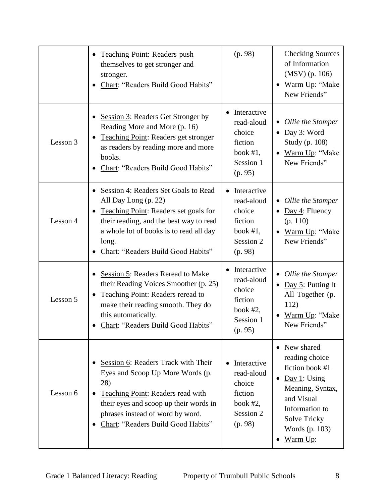|          | Teaching Point: Readers push<br>themselves to get stronger and<br>stronger.<br>Chart: "Readers Build Good Habits"                                                                                                                          | (p. 98)                                                                               | <b>Checking Sources</b><br>of Information<br>$(MSV)$ (p. 106)<br>Warm Up: "Make<br>$\bullet$<br>New Friends"                                                                                        |
|----------|--------------------------------------------------------------------------------------------------------------------------------------------------------------------------------------------------------------------------------------------|---------------------------------------------------------------------------------------|-----------------------------------------------------------------------------------------------------------------------------------------------------------------------------------------------------|
| Lesson 3 | Session 3: Readers Get Stronger by<br>Reading More and More (p. 16)<br><b>Teaching Point: Readers get stronger</b><br>as readers by reading more and more<br>books.<br>Chart: "Readers Build Good Habits"                                  | Interactive<br>read-aloud<br>choice<br>fiction<br>book $#1$ ,<br>Session 1<br>(p. 95) | Ollie the Stomper<br>Day 3: Word<br>$\bullet$<br>Study (p. 108)<br>Warm Up: "Make<br>$\bullet$<br>New Friends"                                                                                      |
| Lesson 4 | Session 4: Readers Set Goals to Read<br>All Day Long (p. 22)<br>Teaching Point: Readers set goals for<br>their reading, and the best way to read<br>a whole lot of books is to read all day<br>long.<br>Chart: "Readers Build Good Habits" | Interactive<br>read-aloud<br>choice<br>fiction<br>book $#1$ ,<br>Session 2<br>(p. 98) | • Ollie the Stomper<br>Day 4: Fluency<br>(p. 110)<br>Warm Up: "Make<br>$\bullet$<br>New Friends"                                                                                                    |
| Lesson 5 | Session 5: Readers Reread to Make<br>their Reading Voices Smoother (p. 25)<br>Teaching Point: Readers reread to<br>make their reading smooth. They do<br>this automatically.<br>Chart: "Readers Build Good Habits"                         | Interactive<br>read-aloud<br>choice<br>fiction<br>book $#2$ ,<br>Session 1<br>(p. 95) | Ollie the Stomper<br>Day $5$ : Putting It<br>$\bullet$<br>All Together (p.<br>112)<br>Warm Up: "Make<br>New Friends"                                                                                |
| Lesson 6 | Session 6: Readers Track with Their<br>Eyes and Scoop Up More Words (p.<br>28)<br>Teaching Point: Readers read with<br>their eyes and scoop up their words in<br>phrases instead of word by word.<br>Chart: "Readers Build Good Habits"    | Interactive<br>read-aloud<br>choice<br>fiction<br>book $#2$ ,<br>Session 2<br>(p. 98) | • New shared<br>reading choice<br>fiction book #1<br>Day 1: Using<br>$\bullet$<br>Meaning, Syntax,<br>and Visual<br>Information to<br><b>Solve Tricky</b><br>Words (p. 103)<br><u>Warm Up:</u><br>٠ |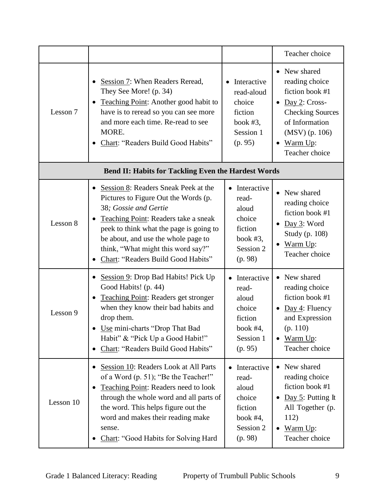|           |                                                                                                                                                                                                                                                                                                                          |                                                                                           | Teacher choice                                                                                                                                                                            |
|-----------|--------------------------------------------------------------------------------------------------------------------------------------------------------------------------------------------------------------------------------------------------------------------------------------------------------------------------|-------------------------------------------------------------------------------------------|-------------------------------------------------------------------------------------------------------------------------------------------------------------------------------------------|
| Lesson 7  | Session 7: When Readers Reread,<br>They See More! (p. 34)<br>Teaching Point: Another good habit to<br>$\bullet$<br>have is to reread so you can see more<br>and more each time. Re-read to see<br>MORE.<br>Chart: "Readers Build Good Habits"<br>٠                                                                       | Interactive<br>read-aloud<br>choice<br>fiction<br>book $#3$ ,<br>Session 1<br>(p. 95)     | • New shared<br>reading choice<br>fiction book #1<br>Day $2$ : Cross-<br>$\bullet$<br><b>Checking Sources</b><br>of Information<br>(MSV) (p. 106)<br>$\bullet$ Warm Up:<br>Teacher choice |
|           | <b>Bend II: Habits for Tackling Even the Hardest Words</b>                                                                                                                                                                                                                                                               |                                                                                           |                                                                                                                                                                                           |
| Lesson 8  | Session 8: Readers Sneak Peek at the<br>$\bullet$<br>Pictures to Figure Out the Words (p.<br>38; Gossie and Gertie<br>Teaching Point: Readers take a sneak<br>peek to think what the page is going to<br>be about, and use the whole page to<br>think, "What might this word say?"<br>Chart: "Readers Build Good Habits" | Interactive<br>read-<br>aloud<br>choice<br>fiction<br>book $#3$ ,<br>Session 2<br>(p. 98) | New shared<br>$\bullet$<br>reading choice<br>fiction book #1<br>Day 3: Word<br>$\bullet$<br>Study (p. 108)<br>Warm Up:<br>Teacher choice                                                  |
| Lesson 9  | Session 9: Drop Bad Habits! Pick Up<br>$\bullet$<br>Good Habits! (p. 44)<br>Teaching Point: Readers get stronger<br>$\bullet$<br>when they know their bad habits and<br>drop them.<br>Use mini-charts "Drop That Bad<br>Habit" & "Pick Up a Good Habit!"<br>Chart: "Readers Build Good Habits"                           | Interactive<br>read-<br>aloud<br>choice<br>fiction<br>book #4,<br>Session 1<br>(p. 95)    | • New shared<br>reading choice<br>fiction book #1<br>• Day 4: Fluency<br>and Expression<br>(p. 110)<br>Warm Up:<br>$\bullet$<br>Teacher choice                                            |
| Lesson 10 | Session 10: Readers Look at All Parts<br>٠<br>of a Word (p. 51); "Be the Teacher!"<br><b>Teaching Point: Readers need to look</b><br>٠<br>through the whole word and all parts of<br>the word. This helps figure out the<br>word and makes their reading make<br>sense.<br>Chart: "Good Habits for Solving Hard          | Interactive<br>read-<br>aloud<br>choice<br>fiction<br>book $#4$ ,<br>Session 2<br>(p. 98) | New shared<br>reading choice<br>fiction book #1<br>Day 5: Putting It<br>All Together (p.<br>112)<br>Warm Up:<br>Teacher choice                                                            |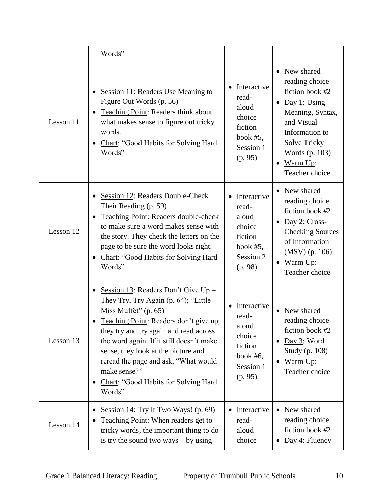|           | Words"                                                                                                                                                                                                                                                                                                                                                                                 |                                                                                           |                                                                                                                                                                                              |
|-----------|----------------------------------------------------------------------------------------------------------------------------------------------------------------------------------------------------------------------------------------------------------------------------------------------------------------------------------------------------------------------------------------|-------------------------------------------------------------------------------------------|----------------------------------------------------------------------------------------------------------------------------------------------------------------------------------------------|
| Lesson 11 | Session 11: Readers Use Meaning to<br>Figure Out Words (p. 56)<br>Teaching Point: Readers think about<br>what makes sense to figure out tricky<br>words.<br>Chart: "Good Habits for Solving Hard<br>Words"                                                                                                                                                                             | Interactive<br>read-<br>aloud<br>choice<br>fiction<br>book $#5$ ,<br>Session 1<br>(p. 95) | • New shared<br>reading choice<br>fiction book #2<br>Day 1: Using<br>Meaning, Syntax,<br>and Visual<br>Information to<br><b>Solve Tricky</b><br>Words (p. 103)<br>Warm Up:<br>Teacher choice |
| Lesson 12 | Session 12: Readers Double-Check<br>Their Reading (p. 59)<br>Teaching Point: Readers double-check<br>to make sure a word makes sense with<br>the story. They check the letters on the<br>page to be sure the word looks right.<br>Chart: "Good Habits for Solving Hard<br>Words"                                                                                                       | Interactive<br>read-<br>aloud<br>choice<br>fiction<br>book $#5$ ,<br>Session 2<br>(p. 98) | • New shared<br>reading choice<br>fiction book #2<br>$\underline{Day 2}$ : Cross-<br><b>Checking Sources</b><br>of Information<br>$(MSV)$ (p. 106)<br>$\bullet$ Warm Up:<br>Teacher choice   |
| Lesson 13 | Session 13: Readers Don't Give $Up -$<br>They Try, Try Again (p. 64); "Little<br>Miss Muffet" (p. 65)<br>Teaching Point: Readers don't give up;<br>they try and try again and read across<br>the word again. If it still doesn't make<br>sense, they look at the picture and<br>reread the page and ask, "What would<br>make sense?"<br>Chart: "Good Habits for Solving Hard<br>Words" | Interactive<br>read-<br>aloud<br>choice<br>fiction<br>book $#6$ ,<br>Session 1<br>(p. 95) | New shared<br>$\bullet$<br>reading choice<br>fiction book #2<br>Day 3: Word<br>Study (p. 108)<br>Warm Up:<br>$\bullet$<br>Teacher choice                                                     |
| Lesson 14 | Session $14$ : Try It Two Ways! (p. 69)<br>Teaching Point: When readers get to<br>tricky words, the important thing to do<br>is try the sound two ways $-$ by using                                                                                                                                                                                                                    | Interactive<br>read-<br>aloud<br>choice                                                   | New shared<br>reading choice<br>fiction book #2<br>$Day 4$ : Fluency                                                                                                                         |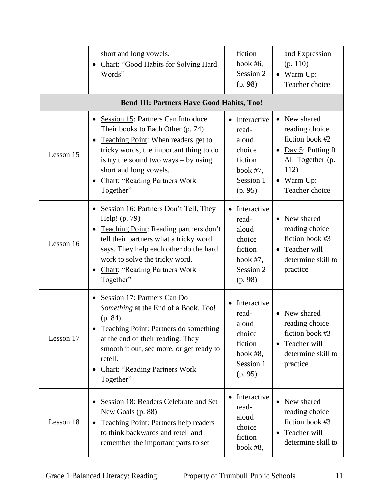|           | short and long vowels.<br>Chart: "Good Habits for Solving Hard<br>Words"                                                                                                                                                                                                           | fiction<br>book $#6$ ,<br>Session 2<br>(p. 98)                                                         | and Expression<br>(p. 110)<br>Warm Up:<br>$\bullet$<br>Teacher choice                                                                           |
|-----------|------------------------------------------------------------------------------------------------------------------------------------------------------------------------------------------------------------------------------------------------------------------------------------|--------------------------------------------------------------------------------------------------------|-------------------------------------------------------------------------------------------------------------------------------------------------|
|           | <b>Bend III: Partners Have Good Habits, Too!</b>                                                                                                                                                                                                                                   |                                                                                                        |                                                                                                                                                 |
| Lesson 15 | Session 15: Partners Can Introduce<br>Their books to Each Other (p. 74)<br>Teaching Point: When readers get to<br>tricky words, the important thing to do<br>is try the sound two ways $-$ by using<br>short and long vowels.<br><b>Chart: "Reading Partners Work</b><br>Together" | Interactive<br>$\bullet$<br>read-<br>aloud<br>choice<br>fiction<br>book $#7$ ,<br>Session 1<br>(p. 95) | • New shared<br>reading choice<br>fiction book #2<br>Day 5: Putting It<br>$\bullet$<br>All Together (p.<br>112)<br>• Warm Up:<br>Teacher choice |
| Lesson 16 | Session 16: Partners Don't Tell, They<br>Help! (p. 79)<br>Teaching Point: Reading partners don't<br>tell their partners what a tricky word<br>says. They help each other do the hard<br>work to solve the tricky word.<br><b>Chart: "Reading Partners Work</b><br>Together"        | Interactive<br>read-<br>aloud<br>choice<br>fiction<br>book $#7$ ,<br>Session 2<br>(p. 98)              | • New shared<br>reading choice<br>fiction book #3<br>• Teacher will<br>determine skill to<br>practice                                           |
| Lesson 17 | Session 17: Partners Can Do<br>Something at the End of a Book, Too!<br>(p. 84)<br>Teaching Point: Partners do something<br>at the end of their reading. They<br>smooth it out, see more, or get ready to<br>retell.<br><b>Chart: "Reading Partners Work</b><br>Together"           |                                                                                                        | New shared<br>$\bullet$<br>reading choice<br>fiction book #3<br>Teacher will<br>$\bullet$<br>determine skill to<br>practice                     |
| Lesson 18 | Session 18: Readers Celebrate and Set<br>New Goals (p. 88)<br><b>Teaching Point: Partners help readers</b><br>to think backwards and retell and<br>remember the important parts to set                                                                                             | Interactive<br>read-<br>aloud<br>choice<br>fiction<br>book #8,                                         | New shared<br>$\bullet$<br>reading choice<br>fiction book #3<br>Teacher will<br>٠<br>determine skill to                                         |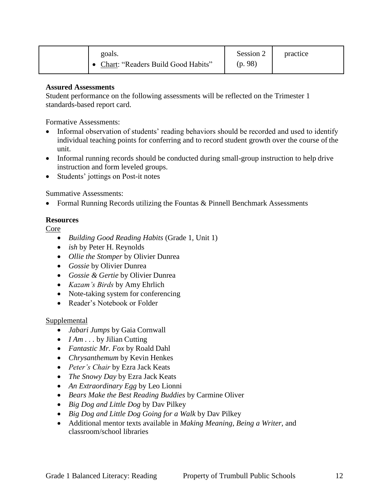| goals.<br>Chart: "Readers Build Good Habits" | Session 2<br>(p.98) | practice |
|----------------------------------------------|---------------------|----------|
|----------------------------------------------|---------------------|----------|

Student performance on the following assessments will be reflected on the Trimester 1 standards-based report card.

Formative Assessments:

- Informal observation of students' reading behaviors should be recorded and used to identify individual teaching points for conferring and to record student growth over the course of the unit.
- Informal running records should be conducted during small-group instruction to help drive instruction and form leveled groups.
- Students' jottings on Post-it notes

Summative Assessments:

• Formal Running Records utilizing the Fountas & Pinnell Benchmark Assessments

## **Resources**

Core

- *Building Good Reading Habits* (Grade 1, Unit 1)
- *ish* by Peter H. Reynolds
- *Ollie the Stomper* by Olivier Dunrea
- *Gossie* by Olivier Dunrea
- *Gossie & Gertie* by Olivier Dunrea
- *Kazam's Birds* by Amy Ehrlich
- Note-taking system for conferencing
- Reader's Notebook or Folder

#### Supplemental

- *Jabari Jumps* by Gaia Cornwall
- *I Am* . . . by Jilian Cutting
- *Fantastic Mr. Fox* by Roald Dahl
- *Chrysanthemum* by Kevin Henkes
- *Peter's Chair* by Ezra Jack Keats
- *The Snowy Day* by Ezra Jack Keats
- *An Extraordinary Egg* by Leo Lionni
- *Bears Make the Best Reading Buddies* by Carmine Oliver
- *Big Dog and Little Dog* by Dav Pilkey
- *Big Dog and Little Dog Going for a Walk* by Dav Pilkey
- Additional mentor texts available in *Making Meaning*, *Being a Writer*, and classroom/school libraries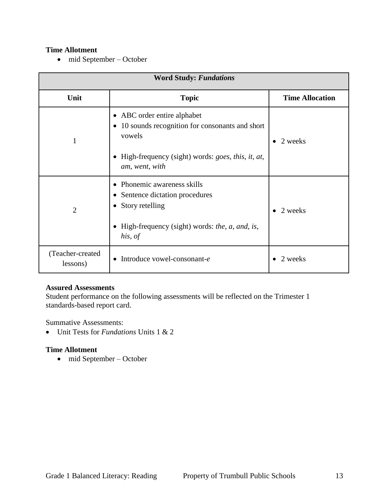## **Time Allotment**

• mid September – October

| <b>Word Study: Fundations</b> |                                                                                                                                                                                                                          |                        |
|-------------------------------|--------------------------------------------------------------------------------------------------------------------------------------------------------------------------------------------------------------------------|------------------------|
| Unit                          | <b>Topic</b>                                                                                                                                                                                                             | <b>Time Allocation</b> |
| $\mathbf{1}$                  | • ABC order entire alphabet<br>10 sounds recognition for consonants and short<br>$\bullet$<br>vowels<br>High-frequency (sight) words: <i>goes</i> , <i>this</i> , <i>it</i> , <i>at</i> ,<br>$\bullet$<br>am, went, with | 2 weeks                |
| $\overline{2}$                | Phonemic awareness skills<br>$\bullet$<br>Sentence dictation procedures<br>٠<br>Story retelling<br>٠<br>High-frequency (sight) words: <i>the, a, and, is,</i><br>٠<br>his, of                                            | 2 weeks                |
| (Teacher-created<br>lessons)  | Introduce vowel-consonant-e<br>$\bullet$                                                                                                                                                                                 | 2 weeks                |

## **Assured Assessments**

Student performance on the following assessments will be reflected on the Trimester 1 standards-based report card.

Summative Assessments:

Unit Tests for *Fundations* Units 1 & 2

#### **Time Allotment**

mid September – October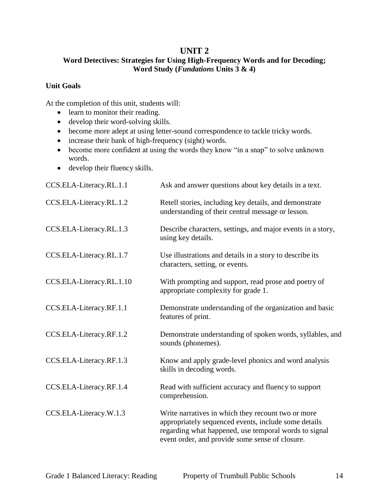## **UNIT 2**

## **Word Detectives: Strategies for Using High-Frequency Words and for Decoding; Word Study (***Fundations* **Units 3 & 4)**

## **Unit Goals**

- learn to monitor their reading.
- develop their word-solving skills.
- become more adept at using letter-sound correspondence to tackle tricky words.
- increase their bank of high-frequency (sight) words.
- become more confident at using the words they know "in a snap" to solve unknown words.
- develop their fluency skills.

| CCS.ELA-Literacy.RL.1.1  | Ask and answer questions about key details in a text.                                                                                                                                                                  |
|--------------------------|------------------------------------------------------------------------------------------------------------------------------------------------------------------------------------------------------------------------|
| CCS.ELA-Literacy.RL.1.2  | Retell stories, including key details, and demonstrate<br>understanding of their central message or lesson.                                                                                                            |
| CCS.ELA-Literacy.RL.1.3  | Describe characters, settings, and major events in a story,<br>using key details.                                                                                                                                      |
| CCS.ELA-Literacy.RL.1.7  | Use illustrations and details in a story to describe its<br>characters, setting, or events.                                                                                                                            |
| CCS.ELA-Literacy.RL.1.10 | With prompting and support, read prose and poetry of<br>appropriate complexity for grade 1.                                                                                                                            |
| CCS.ELA-Literacy.RF.1.1  | Demonstrate understanding of the organization and basic<br>features of print.                                                                                                                                          |
| CCS.ELA-Literacy.RF.1.2  | Demonstrate understanding of spoken words, syllables, and<br>sounds (phonemes).                                                                                                                                        |
| CCS.ELA-Literacy.RF.1.3  | Know and apply grade-level phonics and word analysis<br>skills in decoding words.                                                                                                                                      |
| CCS.ELA-Literacy.RF.1.4  | Read with sufficient accuracy and fluency to support<br>comprehension.                                                                                                                                                 |
| CCS.ELA-Literacy.W.1.3   | Write narratives in which they recount two or more<br>appropriately sequenced events, include some details<br>regarding what happened, use temporal words to signal<br>event order, and provide some sense of closure. |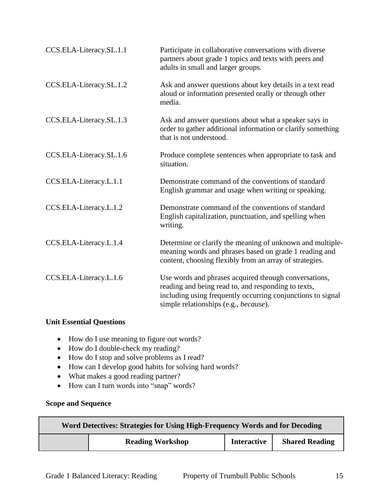| CCS.ELA-Literacy.SL.1.1 | Participate in collaborative conversations with diverse<br>partners about grade 1 topics and texts with peers and<br>adults in small and larger groups.                                                              |
|-------------------------|----------------------------------------------------------------------------------------------------------------------------------------------------------------------------------------------------------------------|
| CCS.ELA-Literacy.SL.1.2 | Ask and answer questions about key details in a text read<br>aloud or information presented orally or through other<br>media.                                                                                        |
| CCS.ELA-Literacy.SL.1.3 | Ask and answer questions about what a speaker says in<br>order to gather additional information or clarify something<br>that is not understood.                                                                      |
| CCS.ELA-Literacy.SL.1.6 | Produce complete sentences when appropriate to task and<br>situation.                                                                                                                                                |
| CCS.ELA-Literacy.L.1.1  | Demonstrate command of the conventions of standard<br>English grammar and usage when writing or speaking.                                                                                                            |
| CCS.ELA-Literacy.L.1.2  | Demonstrate command of the conventions of standard<br>English capitalization, punctuation, and spelling when<br>writing.                                                                                             |
| CCS.ELA-Literacy.L.1.4  | Determine or clarify the meaning of unknown and multiple-<br>meaning words and phrases based on grade 1 reading and<br>content, choosing flexibly from an array of strategies.                                       |
| CCS.ELA-Literacy.L.1.6  | Use words and phrases acquired through conversations,<br>reading and being read to, and responding to texts,<br>including using frequently occurring conjunctions to signal<br>simple relationships (e.g., because). |

## **Unit Essential Questions**

- How do I use meaning to figure out words?
- How do I double-check my reading?
- How do I stop and solve problems as I read?
- How can I develop good habits for solving hard words?
- What makes a good reading partner?
- How can I turn words into "snap" words?

## **Scope and Sequence**

| Word Detectives: Strategies for Using High-Frequency Words and for Decoding |                                               |  |                       |
|-----------------------------------------------------------------------------|-----------------------------------------------|--|-----------------------|
|                                                                             | <b>Interactive</b><br><b>Reading Workshop</b> |  | <b>Shared Reading</b> |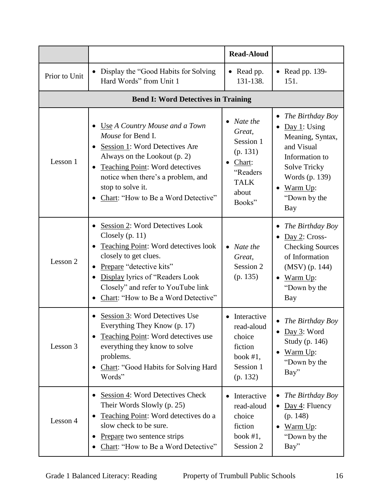|               |                                                                                                                                                                                                                                                                                                                              | <b>Read-Aloud</b>                                                                                                |                                                                                                                                                                                                         |
|---------------|------------------------------------------------------------------------------------------------------------------------------------------------------------------------------------------------------------------------------------------------------------------------------------------------------------------------------|------------------------------------------------------------------------------------------------------------------|---------------------------------------------------------------------------------------------------------------------------------------------------------------------------------------------------------|
| Prior to Unit | Display the "Good Habits for Solving"<br>$\bullet$<br>Hard Words" from Unit 1                                                                                                                                                                                                                                                | • Read pp.<br>131-138.                                                                                           | $\bullet$ Read pp. 139-<br>151.                                                                                                                                                                         |
|               | <b>Bend I: Word Detectives in Training</b>                                                                                                                                                                                                                                                                                   |                                                                                                                  |                                                                                                                                                                                                         |
| Lesson 1      | Use A Country Mouse and a Town<br>$\bullet$<br>Mouse for Bend I.<br>Session 1: Word Detectives Are<br>$\bullet$<br>Always on the Lookout (p. 2)<br><b>Teaching Point: Word detectives</b><br>٠<br>notice when there's a problem, and<br>stop to solve it.<br>Chart: "How to Be a Word Detective"<br>$\bullet$                | Nate the<br>$\bullet$<br>Great,<br>Session 1<br>(p. 131)<br>Chart:<br>"Readers<br><b>TALK</b><br>about<br>Books" | The Birthday Boy<br>$\bullet$<br>Day 1: Using<br>$\bullet$<br>Meaning, Syntax,<br>and Visual<br>Information to<br><b>Solve Tricky</b><br>Words (p. 139)<br>Warm Up:<br>$\bullet$<br>"Down by the<br>Bay |
| Lesson 2      | Session 2: Word Detectives Look<br>$\bullet$<br>Closely $(p. 11)$<br><b>Teaching Point:</b> Word detectives look<br>$\bullet$<br>closely to get clues.<br>Prepare "detective kits"<br>$\bullet$<br>Display lyrics of "Readers Look<br>$\bullet$<br>Closely" and refer to YouTube link<br>Chart: "How to Be a Word Detective" | Nate the<br>Great,<br>Session 2<br>(p. 135)                                                                      | The Birthday Boy<br>٠<br>Day 2: Cross-<br><b>Checking Sources</b><br>of Information<br>$(MSV)$ (p. 144)<br>Warm Up:<br>$\bullet$<br>"Down by the<br>Bay                                                 |
| Lesson 3      | Session 3: Word Detectives Use<br>Everything They Know (p. 17)<br>Teaching Point: Word detectives use<br>$\bullet$<br>everything they know to solve<br>problems.<br>Chart: "Good Habits for Solving Hard<br>$\bullet$<br>Words"                                                                                              | Interactive<br>read-aloud<br>choice<br>fiction<br>book $#1$ ,<br>Session 1<br>(p. 132)                           | The Birthday Boy<br>Day 3: Word<br>Study (p. 146)<br>Warm Up:<br>$\bullet$<br>"Down by the<br>Bay"                                                                                                      |
| Lesson 4      | Session 4: Word Detectives Check<br>$\bullet$<br>Their Words Slowly (p. 25)<br>Teaching Point: Word detectives do a<br>$\bullet$<br>slow check to be sure.<br>Prepare two sentence strips<br>$\bullet$<br>Chart: "How to Be a Word Detective"                                                                                | Interactive<br>read-aloud<br>choice<br>fiction<br>book $#1$ ,<br>Session 2                                       | The Birthday Boy<br>$Day 4$ : Fluency<br>$\bullet$<br>(p. 148)<br>Warm Up:<br>"Down by the<br>Bay"                                                                                                      |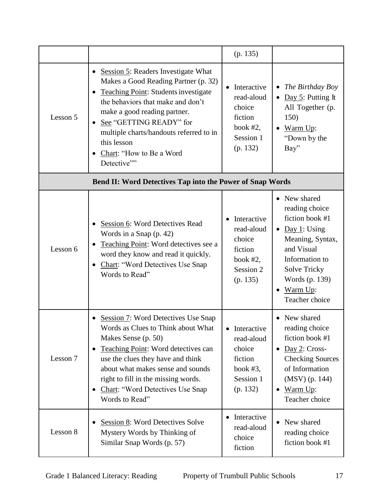|          |                                                                                                                                                                                                                                                                                                                                        | (p. 135)                                                                               |                                                                                                                                                                                                     |
|----------|----------------------------------------------------------------------------------------------------------------------------------------------------------------------------------------------------------------------------------------------------------------------------------------------------------------------------------------|----------------------------------------------------------------------------------------|-----------------------------------------------------------------------------------------------------------------------------------------------------------------------------------------------------|
| Lesson 5 | <b>Session 5: Readers Investigate What</b><br>Makes a Good Reading Partner (p. 32)<br><b>Teaching Point: Students investigate</b><br>the behaviors that make and don't<br>make a good reading partner.<br>See "GETTING READY" for<br>multiple charts/handouts referred to in<br>this lesson<br>Chart: "How to Be a Word<br>Detective"" | Interactive<br>read-aloud<br>choice<br>fiction<br>book $#2$ ,<br>Session 1<br>(p. 132) | The Birthday Boy<br>$\bullet$<br>• Day 5: Putting It<br>All Together (p.<br>150)<br>$\bullet$ Warm Up:<br>"Down by the<br>Bay"                                                                      |
|          | Bend II: Word Detectives Tap into the Power of Snap Words                                                                                                                                                                                                                                                                              |                                                                                        |                                                                                                                                                                                                     |
| Lesson 6 | Session 6: Word Detectives Read<br>Words in a Snap (p. 42)<br>Teaching Point: Word detectives see a<br>word they know and read it quickly.<br><b>Chart: "Word Detectives Use Snap</b><br>Words to Read"                                                                                                                                | Interactive<br>read-aloud<br>choice<br>fiction<br>book $#2$ ,<br>Session 2<br>(p. 135) | • New shared<br>reading choice<br>fiction book #1<br>• Day 1: Using<br>Meaning, Syntax,<br>and Visual<br>Information to<br><b>Solve Tricky</b><br>Words (p. 139)<br>Warm Up:<br>٠<br>Teacher choice |
| Lesson 7 | Session 7: Word Detectives Use Snap<br>Words as Clues to Think about What<br>Makes Sense (p. 50)<br>Teaching Point: Word detectives can<br>use the clues they have and think<br>about what makes sense and sounds<br>right to fill in the missing words.<br><b>Chart: "Word Detectives Use Snap</b><br>Words to Read"                  | Interactive<br>read-aloud<br>choice<br>fiction<br>book $#3$ ,<br>Session 1<br>(p. 132) | New shared<br>reading choice<br>fiction book #1<br>Day 2: Cross-<br><b>Checking Sources</b><br>of Information<br>$(MSV)$ (p. 144)<br>Warm Up:<br>$\bullet$<br>Teacher choice                        |
| Lesson 8 | Session 8: Word Detectives Solve<br>Mystery Words by Thinking of<br>Similar Snap Words (p. 57)                                                                                                                                                                                                                                         | Interactive<br>read-aloud<br>choice<br>fiction                                         | New shared<br>$\bullet$<br>reading choice<br>fiction book #1                                                                                                                                        |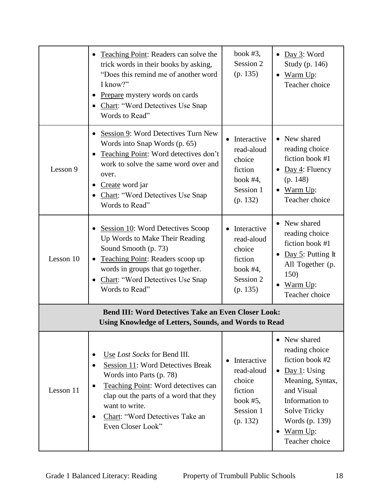|                                                                                                                            | Teaching Point: Readers can solve the<br>$\bullet$<br>trick words in their books by asking,<br>"Does this remind me of another word<br>I know?"<br>Prepare mystery words on cards<br><b>Chart: "Word Detectives Use Snap</b><br>Words to Read"                                                  | book $#3$ ,<br>Session 2<br>(p. 135)                                                   | $\bullet$ Day 3: Word<br>Study (p. 146)<br>Warm Up:<br>Teacher choice                                                                                                                                     |
|----------------------------------------------------------------------------------------------------------------------------|-------------------------------------------------------------------------------------------------------------------------------------------------------------------------------------------------------------------------------------------------------------------------------------------------|----------------------------------------------------------------------------------------|-----------------------------------------------------------------------------------------------------------------------------------------------------------------------------------------------------------|
| Lesson 9                                                                                                                   | Session 9: Word Detectives Turn New<br>$\bullet$<br>Words into Snap Words (p. 65)<br>Teaching Point: Word detectives don't<br>$\bullet$<br>work to solve the same word over and<br>over.<br>Create word jar<br>٠<br><b>Chart: "Word Detectives Use Snap</b><br>Words to Read"                   | Interactive<br>read-aloud<br>choice<br>fiction<br>book $#4$ ,<br>Session 1<br>(p. 132) | • New shared<br>reading choice<br>fiction book #1<br>$\frac{\text{Day } 4}{\text{Player}}$ : Fluency<br>(p. 148)<br>Warm Up:<br>Teacher choice                                                            |
| Lesson 10                                                                                                                  | Session 10: Word Detectives Scoop<br>٠<br>Up Words to Make Their Reading<br>Sound Smooth (p. 73)<br>Teaching Point: Readers scoop up<br>words in groups that go together.<br><b>Chart: "Word Detectives Use Snap</b><br>Words to Read"                                                          | Interactive<br>read-aloud<br>choice<br>fiction<br>book $#4$ ,<br>Session 2<br>(p. 135) | • New shared<br>reading choice<br>fiction book #1<br>Day 5: Putting It<br>All Together (p.<br>150)<br>Warm Up:<br>Teacher choice                                                                          |
| <b>Bend III: Word Detectives Take an Even Closer Look:</b><br><b>Using Knowledge of Letters, Sounds, and Words to Read</b> |                                                                                                                                                                                                                                                                                                 |                                                                                        |                                                                                                                                                                                                           |
| Lesson 11                                                                                                                  | Use Lost Socks for Bend III.<br>$\bullet$<br>Session 11: Word Detectives Break<br>Words into Parts (p. 78)<br>Teaching Point: Word detectives can<br>$\bullet$<br>clap out the parts of a word that they<br>want to write.<br>Chart: "Word Detectives Take an<br>$\bullet$<br>Even Closer Look" | Interactive<br>read-aloud<br>choice<br>fiction<br>book $#5$ ,<br>Session 1<br>(p. 132) | • New shared<br>reading choice<br>fiction book #2<br>$\bullet$ Day 1: Using<br>Meaning, Syntax,<br>and Visual<br>Information to<br>Solve Tricky<br>Words (p. 139)<br>$\bullet$ Warm Up:<br>Teacher choice |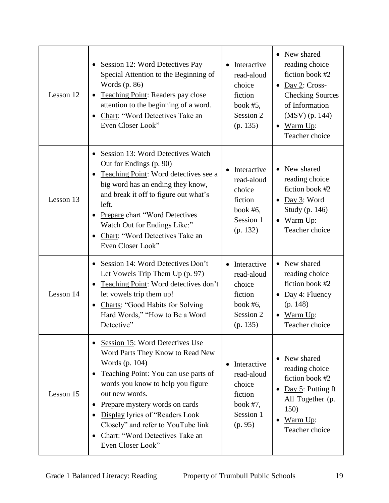| Lesson 12 | Session 12: Word Detectives Pay<br>Special Attention to the Beginning of<br>Words (p. 86)<br>Teaching Point: Readers pay close<br>attention to the beginning of a word.<br>Chart: "Word Detectives Take an<br>Even Closer Look"                                                                                                                         | Interactive<br>read-aloud<br>choice<br>fiction<br>book $#5$ ,<br>Session 2<br>(p. 135)             | • New shared<br>reading choice<br>fiction book #2<br>$\bullet$ Day 2: Cross-<br><b>Checking Sources</b><br>of Information<br>(MSV) (p. 144)<br>• Warm Up:<br>Teacher choice |
|-----------|---------------------------------------------------------------------------------------------------------------------------------------------------------------------------------------------------------------------------------------------------------------------------------------------------------------------------------------------------------|----------------------------------------------------------------------------------------------------|-----------------------------------------------------------------------------------------------------------------------------------------------------------------------------|
| Lesson 13 | Session 13: Word Detectives Watch<br>$\bullet$<br>Out for Endings (p. 90)<br>Teaching Point: Word detectives see a<br>big word has an ending they know,<br>and break it off to figure out what's<br>left.<br><b>Prepare chart "Word Detectives</b><br>Watch Out for Endings Like:"<br>Chart: "Word Detectives Take an<br>$\bullet$<br>Even Closer Look" | Interactive<br>read-aloud<br>choice<br>fiction<br>book $#6$ ,<br>Session 1<br>(p. 132)             | • New shared<br>reading choice<br>fiction book #2<br>$\bullet$ Day 3: Word<br>Study (p. 146)<br>$\bullet$ Warm Up:<br>Teacher choice                                        |
| Lesson 14 | Session 14: Word Detectives Don't<br>Let Vowels Trip Them Up (p. 97)<br>Teaching Point: Word detectives don't<br>let vowels trip them up!<br><b>Charts: "Good Habits for Solving</b><br>$\bullet$<br>Hard Words," "How to Be a Word<br>Detective"                                                                                                       | • Interactive<br>read-aloud<br>choice<br>fiction<br>book $#6$ ,<br>Session 2<br>(p. 135)           | • New shared<br>reading choice<br>fiction book #2<br>Day 4: Fluency<br>$\bullet$<br>(p. 148)<br>Warm Up:<br>Teacher choice                                                  |
| Lesson 15 | Session 15: Word Detectives Use<br>Word Parts They Know to Read New<br>Words (p. 104)<br>Teaching Point: You can use parts of<br>words you know to help you figure<br>out new words.<br>Prepare mystery words on cards<br>Display lyrics of "Readers Look<br>Closely" and refer to YouTube link<br>Chart: "Word Detectives Take an<br>Even Closer Look" | Interactive<br>$\bullet$<br>read-aloud<br>choice<br>fiction<br>book $#7$ ,<br>Session 1<br>(p. 95) | New shared<br>reading choice<br>fiction book #2<br>Day $5$ : Putting It<br>All Together (p.<br>150)<br>Warm Up:<br>Teacher choice                                           |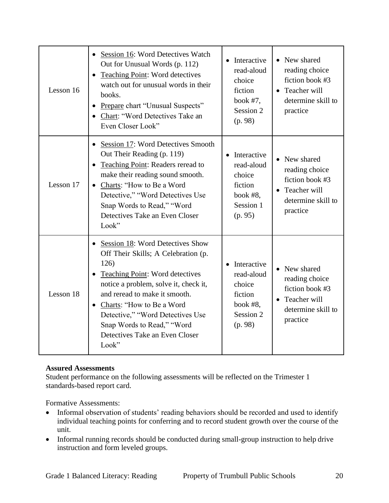| Lesson 16 | • Session 16: Word Detectives Watch<br>Out for Unusual Words (p. 112)<br>Teaching Point: Word detectives<br>$\bullet$<br>watch out for unusual words in their<br>books.<br>Prepare chart "Unusual Suspects"<br>$\bullet$<br>Chart: "Word Detectives Take an<br>Even Closer Look"                                                                      | • Interactive<br>read-aloud<br>choice<br>fiction<br>book $#7$ ,<br>Session 2<br>(p. 98) | • New shared<br>reading choice<br>fiction book #3<br>• Teacher will<br>determine skill to<br>practice |
|-----------|-------------------------------------------------------------------------------------------------------------------------------------------------------------------------------------------------------------------------------------------------------------------------------------------------------------------------------------------------------|-----------------------------------------------------------------------------------------|-------------------------------------------------------------------------------------------------------|
| Lesson 17 | Session 17: Word Detectives Smooth<br>$\bullet$<br>Out Their Reading (p. 119)<br>Teaching Point: Readers reread to<br>make their reading sound smooth.<br>Charts: "How to Be a Word<br>$\bullet$<br>Detective," "Word Detectives Use<br>Snap Words to Read," "Word<br>Detectives Take an Even Closer<br>Look"                                         | • Interactive<br>read-aloud<br>choice<br>fiction<br>book $#8$ ,<br>Session 1<br>(p. 95) | • New shared<br>reading choice<br>fiction book #3<br>• Teacher will<br>determine skill to<br>practice |
| Lesson 18 | Session 18: Word Detectives Show<br>$\bullet$<br>Off Their Skills; A Celebration (p.<br>126)<br>Teaching Point: Word detectives<br>notice a problem, solve it, check it,<br>and reread to make it smooth.<br>• Charts: "How to Be a Word<br>Detective," "Word Detectives Use<br>Snap Words to Read," "Word<br>Detectives Take an Even Closer<br>Look" | • Interactive<br>read-aloud<br>choice<br>fiction<br>book $#8$ ,<br>Session 2<br>(p. 98) | • New shared<br>reading choice<br>fiction book #3<br>• Teacher will<br>determine skill to<br>practice |

Student performance on the following assessments will be reflected on the Trimester 1 standards-based report card.

Formative Assessments:

- Informal observation of students' reading behaviors should be recorded and used to identify individual teaching points for conferring and to record student growth over the course of the unit.
- Informal running records should be conducted during small-group instruction to help drive instruction and form leveled groups.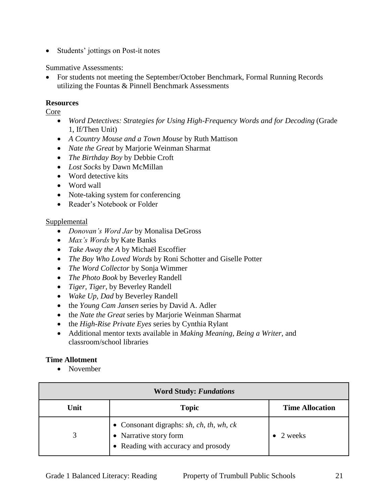• Students' jottings on Post-it notes

Summative Assessments:

 For students not meeting the September/October Benchmark, Formal Running Records utilizing the Fountas & Pinnell Benchmark Assessments

## **Resources**

Core

- *Word Detectives: Strategies for Using High-Frequency Words and for Decoding* (Grade 1, If/Then Unit)
- *A Country Mouse and a Town Mouse* by Ruth Mattison
- *Nate the Great* by Marjorie Weinman Sharmat
- *The Birthday Boy* by Debbie Croft
- *Lost Socks* by Dawn McMillan
- Word detective kits
- Word wall
- Note-taking system for conferencing
- Reader's Notebook or Folder

## **Supplemental**

- *Donovan's Word Jar* by Monalisa DeGross
- *Max's Words* by Kate Banks
- *Take Away the A* by Michaël Escoffier
- *The Boy Who Loved Words* by Roni Schotter and Giselle Potter
- *The Word Collector* by Sonja Wimmer
- *The Photo Book* by Beverley Randell
- *Tiger, Tiger*, by Beverley Randell
- *Wake Up, Dad* by Beverley Randell
- the *Young Cam Jansen* series by David A. Adler
- the *Nate the Great* series by Marjorie Weinman Sharmat
- the *High-Rise Private Eyes* series by Cynthia Rylant
- Additional mentor texts available in *Making Meaning*, *Being a Writer*, and classroom/school libraries

## **Time Allotment**

• November

| <b>Word Study: Fundations</b> |                                                                                                                         |                        |
|-------------------------------|-------------------------------------------------------------------------------------------------------------------------|------------------------|
| Unit                          | <b>Topic</b>                                                                                                            | <b>Time Allocation</b> |
| 3                             | • Consonant digraphs: $sh$ , $ch$ , $th$ , $wh$ , $ck$<br>• Narrative story form<br>• Reading with accuracy and prosody | 2 weeks                |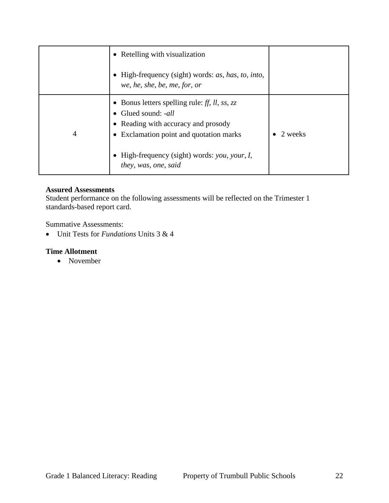|   | • Retelling with visualization                                                                                                                   |         |
|---|--------------------------------------------------------------------------------------------------------------------------------------------------|---------|
|   | High-frequency (sight) words: as, has, to, into,<br>we, he, she, be, me, for, or                                                                 |         |
| 4 | • Bonus letters spelling rule: ff, ll, ss, zz<br>Glued sound: -all<br>Reading with accuracy and prosody<br>Exclamation point and quotation marks | 2 weeks |
|   | High-frequency (sight) words: you, your, I,<br>they, was, one, said                                                                              |         |

Student performance on the following assessments will be reflected on the Trimester 1 standards-based report card.

Summative Assessments:

Unit Tests for *Fundations* Units 3 & 4

## **Time Allotment**

• November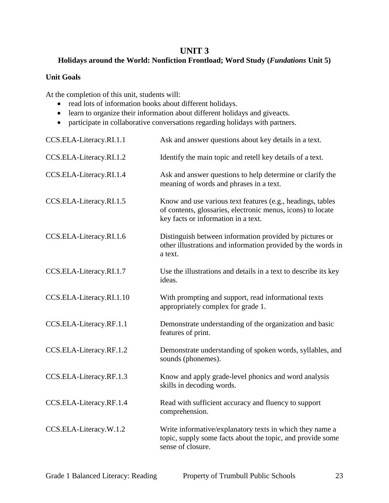## **UNIT 3**

## **Holidays around the World: Nonfiction Frontload; Word Study (***Fundations* **Unit 5)**

## **Unit Goals**

- read lots of information books about different holidays.
- learn to organize their information about different holidays and giveacts.
- participate in collaborative conversations regarding holidays with partners.

| CCS.ELA-Literacy.RI.1.1  | Ask and answer questions about key details in a text.                                                                                                            |
|--------------------------|------------------------------------------------------------------------------------------------------------------------------------------------------------------|
| CCS.ELA-Literacy.RI.1.2  | Identify the main topic and retell key details of a text.                                                                                                        |
| CCS.ELA-Literacy.RI.1.4  | Ask and answer questions to help determine or clarify the<br>meaning of words and phrases in a text.                                                             |
| CCS.ELA-Literacy.RI.1.5  | Know and use various text features (e.g., headings, tables<br>of contents, glossaries, electronic menus, icons) to locate<br>key facts or information in a text. |
| CCS.ELA-Literacy.RI.1.6  | Distinguish between information provided by pictures or<br>other illustrations and information provided by the words in<br>a text.                               |
| CCS.ELA-Literacy.RI.1.7  | Use the illustrations and details in a text to describe its key<br>ideas.                                                                                        |
| CCS.ELA-Literacy.RI.1.10 | With prompting and support, read informational texts<br>appropriately complex for grade 1.                                                                       |
| CCS.ELA-Literacy.RF.1.1  | Demonstrate understanding of the organization and basic<br>features of print.                                                                                    |
| CCS.ELA-Literacy.RF.1.2  | Demonstrate understanding of spoken words, syllables, and<br>sounds (phonemes).                                                                                  |
| CCS.ELA-Literacy.RF.1.3  | Know and apply grade-level phonics and word analysis<br>skills in decoding words.                                                                                |
| CCS.ELA-Literacy.RF.1.4  | Read with sufficient accuracy and fluency to support<br>comprehension.                                                                                           |
| CCS.ELA-Literacy.W.1.2   | Write informative/explanatory texts in which they name a<br>topic, supply some facts about the topic, and provide some<br>sense of closure.                      |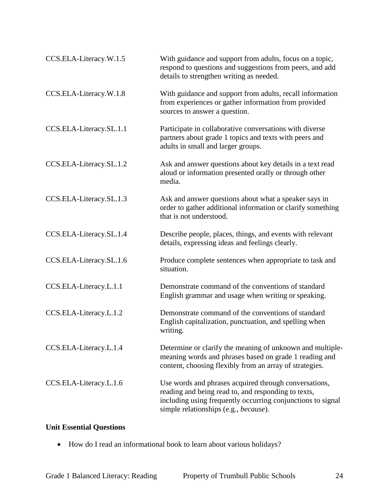| CCS.ELA-Literacy.W.1.5  | With guidance and support from adults, focus on a topic,<br>respond to questions and suggestions from peers, and add<br>details to strengthen writing as needed.                                                     |
|-------------------------|----------------------------------------------------------------------------------------------------------------------------------------------------------------------------------------------------------------------|
| CCS.ELA-Literacy.W.1.8  | With guidance and support from adults, recall information<br>from experiences or gather information from provided<br>sources to answer a question.                                                                   |
| CCS.ELA-Literacy.SL.1.1 | Participate in collaborative conversations with diverse<br>partners about grade 1 topics and texts with peers and<br>adults in small and larger groups.                                                              |
| CCS.ELA-Literacy.SL.1.2 | Ask and answer questions about key details in a text read<br>aloud or information presented orally or through other<br>media.                                                                                        |
| CCS.ELA-Literacy.SL.1.3 | Ask and answer questions about what a speaker says in<br>order to gather additional information or clarify something<br>that is not understood.                                                                      |
| CCS.ELA-Literacy.SL.1.4 | Describe people, places, things, and events with relevant<br>details, expressing ideas and feelings clearly.                                                                                                         |
| CCS.ELA-Literacy.SL.1.6 | Produce complete sentences when appropriate to task and<br>situation.                                                                                                                                                |
| CCS.ELA-Literacy.L.1.1  | Demonstrate command of the conventions of standard<br>English grammar and usage when writing or speaking.                                                                                                            |
| CCS.ELA-Literacy.L.1.2  | Demonstrate command of the conventions of standard<br>English capitalization, punctuation, and spelling when<br>writing.                                                                                             |
| CCS.ELA-Literacy.L.1.4  | Determine or clarify the meaning of unknown and multiple-<br>meaning words and phrases based on grade 1 reading and<br>content, choosing flexibly from an array of strategies.                                       |
| CCS.ELA-Literacy.L.1.6  | Use words and phrases acquired through conversations,<br>reading and being read to, and responding to texts,<br>including using frequently occurring conjunctions to signal<br>simple relationships (e.g., because). |

## **Unit Essential Questions**

How do I read an informational book to learn about various holidays?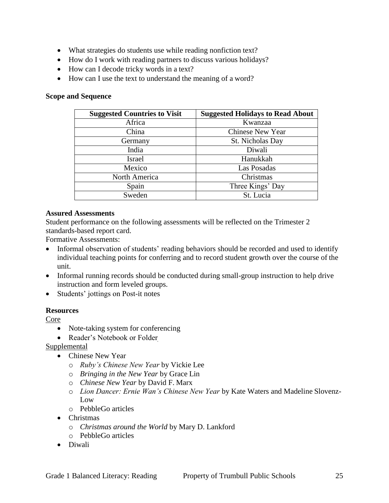- What strategies do students use while reading nonfiction text?
- How do I work with reading partners to discuss various holidays?
- How can I decode tricky words in a text?
- How can I use the text to understand the meaning of a word?

#### **Scope and Sequence**

| <b>Suggested Countries to Visit</b> | <b>Suggested Holidays to Read About</b> |
|-------------------------------------|-----------------------------------------|
| Africa                              | Kwanzaa                                 |
| China                               | <b>Chinese New Year</b>                 |
| Germany                             | St. Nicholas Day                        |
| India                               | Diwali                                  |
| <b>Israel</b>                       | Hanukkah                                |
| Mexico                              | Las Posadas                             |
| North America                       | Christmas                               |
| Spain                               | Three Kings' Day                        |
| Sweden                              | St. Lucia                               |

#### **Assured Assessments**

Student performance on the following assessments will be reflected on the Trimester 2 standards-based report card.

Formative Assessments:

- Informal observation of students' reading behaviors should be recorded and used to identify individual teaching points for conferring and to record student growth over the course of the unit.
- Informal running records should be conducted during small-group instruction to help drive instruction and form leveled groups.
- Students' jottings on Post-it notes

#### **Resources**

Core

- Note-taking system for conferencing
- Reader's Notebook or Folder

#### Supplemental

- Chinese New Year
	- o *Ruby's Chinese New Year* by Vickie Lee
	- o *Bringing in the New Year* by Grace Lin
	- o *Chinese New Year* by David F. Marx
	- o *Lion Dancer: Ernie Wan's Chinese New Year* by Kate Waters and Madeline Slovenz-Low
	- o PebbleGo articles
- Christmas
	- o *Christmas around the World* by Mary D. Lankford
	- o PebbleGo articles
- Diwali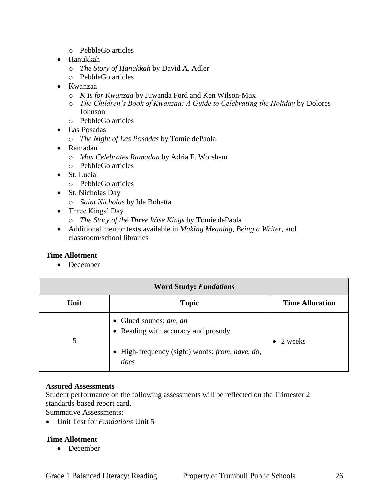- o PebbleGo articles
- Hanukkah
	- o *The Story of Hanukkah* by David A. Adler
	- o PebbleGo articles
- Kwanzaa
	- o *K Is for Kwanzaa* by Juwanda Ford and Ken Wilson-Max
	- o *The Children's Book of Kwanzaa: A Guide to Celebrating the Holiday* by Dolores Johnson
	- o PebbleGo articles
- Las Posadas
	- o *The Night of Las Posadas* by Tomie dePaola
- Ramadan
	- o *Max Celebrates Ramadan* by Adria F. Worsham
	- o PebbleGo articles
- St. Lucia
	- o PebbleGo articles
- St. Nicholas Day
	- o *Saint Nicholas* by Ida Bohatta
- Three Kings' Day
	- o *The Story of the Three Wise Kings* by Tomie dePaola
- Additional mentor texts available in *Making Meaning*, *Being a Writer*, and classroom/school libraries

#### **Time Allotment**

• December

| <b>Word Study: Fundations</b> |                                                                                                                                      |                        |
|-------------------------------|--------------------------------------------------------------------------------------------------------------------------------------|------------------------|
| Unit                          | <b>Topic</b>                                                                                                                         | <b>Time Allocation</b> |
| 5                             | • Glued sounds: $am$ , $an$<br>• Reading with accuracy and prosody<br>• High-frequency (sight) words: <i>from, have, do,</i><br>does | 2 weeks                |

#### **Assured Assessments**

Student performance on the following assessments will be reflected on the Trimester 2 standards-based report card.

Summative Assessments:

Unit Test for *Fundations* Unit 5

## **Time Allotment**

• December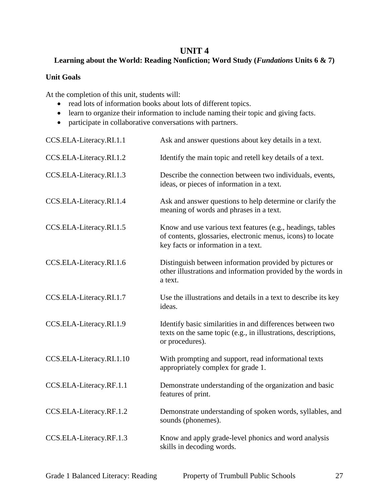## **UNIT 4**

## **Learning about the World: Reading Nonfiction; Word Study (***Fundations* **Units 6 & 7)**

## **Unit Goals**

- read lots of information books about lots of different topics.
- learn to organize their information to include naming their topic and giving facts.
- participate in collaborative conversations with partners.

| CCS.ELA-Literacy.RI.1.1  | Ask and answer questions about key details in a text.                                                                                                            |
|--------------------------|------------------------------------------------------------------------------------------------------------------------------------------------------------------|
| CCS.ELA-Literacy.RI.1.2  | Identify the main topic and retell key details of a text.                                                                                                        |
| CCS.ELA-Literacy.RI.1.3  | Describe the connection between two individuals, events,<br>ideas, or pieces of information in a text.                                                           |
| CCS.ELA-Literacy.RI.1.4  | Ask and answer questions to help determine or clarify the<br>meaning of words and phrases in a text.                                                             |
| CCS.ELA-Literacy.RI.1.5  | Know and use various text features (e.g., headings, tables<br>of contents, glossaries, electronic menus, icons) to locate<br>key facts or information in a text. |
| CCS.ELA-Literacy.RI.1.6  | Distinguish between information provided by pictures or<br>other illustrations and information provided by the words in<br>a text.                               |
| CCS.ELA-Literacy.RI.1.7  | Use the illustrations and details in a text to describe its key<br>ideas.                                                                                        |
| CCS.ELA-Literacy.RI.1.9  | Identify basic similarities in and differences between two<br>texts on the same topic (e.g., in illustrations, descriptions,<br>or procedures).                  |
| CCS.ELA-Literacy.RI.1.10 | With prompting and support, read informational texts<br>appropriately complex for grade 1.                                                                       |
| CCS.ELA-Literacy.RF.1.1  | Demonstrate understanding of the organization and basic<br>features of print.                                                                                    |
| CCS.ELA-Literacy.RF.1.2  | Demonstrate understanding of spoken words, syllables, and<br>sounds (phonemes).                                                                                  |
| CCS.ELA-Literacy.RF.1.3  | Know and apply grade-level phonics and word analysis<br>skills in decoding words.                                                                                |
|                          |                                                                                                                                                                  |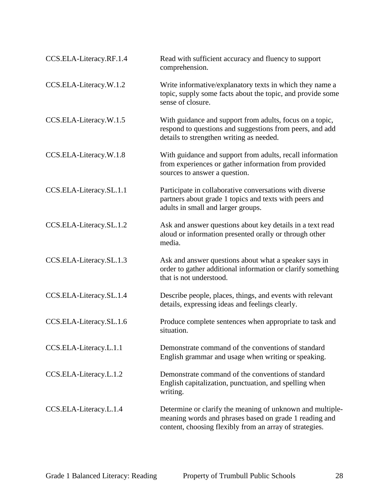| CCS.ELA-Literacy.RF.1.4 | Read with sufficient accuracy and fluency to support<br>comprehension.                                                                                                         |
|-------------------------|--------------------------------------------------------------------------------------------------------------------------------------------------------------------------------|
| CCS.ELA-Literacy.W.1.2  | Write informative/explanatory texts in which they name a<br>topic, supply some facts about the topic, and provide some<br>sense of closure.                                    |
| CCS.ELA-Literacy.W.1.5  | With guidance and support from adults, focus on a topic,<br>respond to questions and suggestions from peers, and add<br>details to strengthen writing as needed.               |
| CCS.ELA-Literacy.W.1.8  | With guidance and support from adults, recall information<br>from experiences or gather information from provided<br>sources to answer a question.                             |
| CCS.ELA-Literacy.SL.1.1 | Participate in collaborative conversations with diverse<br>partners about grade 1 topics and texts with peers and<br>adults in small and larger groups.                        |
| CCS.ELA-Literacy.SL.1.2 | Ask and answer questions about key details in a text read<br>aloud or information presented orally or through other<br>media.                                                  |
| CCS.ELA-Literacy.SL.1.3 | Ask and answer questions about what a speaker says in<br>order to gather additional information or clarify something<br>that is not understood.                                |
| CCS.ELA-Literacy.SL.1.4 | Describe people, places, things, and events with relevant<br>details, expressing ideas and feelings clearly.                                                                   |
| CCS.ELA-Literacy.SL.1.6 | Produce complete sentences when appropriate to task and<br>situation.                                                                                                          |
| CCS.ELA-Literacy.L.1.1  | Demonstrate command of the conventions of standard<br>English grammar and usage when writing or speaking.                                                                      |
| CCS.ELA-Literacy.L.1.2  | Demonstrate command of the conventions of standard<br>English capitalization, punctuation, and spelling when<br>writing.                                                       |
| CCS.ELA-Literacy.L.1.4  | Determine or clarify the meaning of unknown and multiple-<br>meaning words and phrases based on grade 1 reading and<br>content, choosing flexibly from an array of strategies. |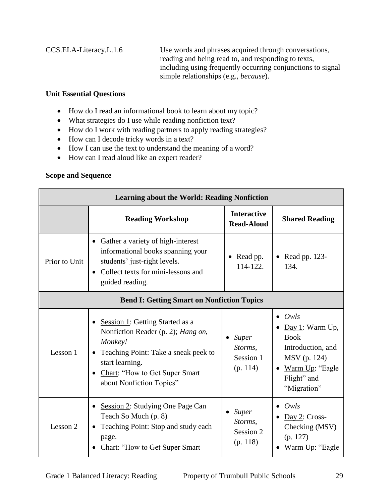CCS.ELA-Literacy.L.1.6 Use words and phrases acquired through conversations, reading and being read to, and responding to texts, including using frequently occurring conjunctions to signal simple relationships (e.g., *because*).

## **Unit Essential Questions**

- How do I read an informational book to learn about my topic?
- What strategies do I use while reading nonfiction text?
- How do I work with reading partners to apply reading strategies?
- How can I decode tricky words in a text?
- How I can use the text to understand the meaning of a word?
- How can I read aloud like an expert reader?

## **Scope and Sequence**

| <b>Learning about the World: Reading Nonfiction</b> |                                                                                                                                                                                                           |                                                  |                                                                                                                                                         |
|-----------------------------------------------------|-----------------------------------------------------------------------------------------------------------------------------------------------------------------------------------------------------------|--------------------------------------------------|---------------------------------------------------------------------------------------------------------------------------------------------------------|
|                                                     | <b>Reading Workshop</b>                                                                                                                                                                                   | <b>Interactive</b><br><b>Read-Aloud</b>          | <b>Shared Reading</b>                                                                                                                                   |
| Prior to Unit                                       | Gather a variety of high-interest<br>٠<br>informational books spanning your<br>students' just-right levels.<br>Collect texts for mini-lessons and<br>$\bullet$<br>guided reading.                         | Read pp.<br>114-122.                             | • Read pp. $123-$<br>134.                                                                                                                               |
| <b>Bend I: Getting Smart on Nonfiction Topics</b>   |                                                                                                                                                                                                           |                                                  |                                                                                                                                                         |
| Lesson 1                                            | Session 1: Getting Started as a<br>Nonfiction Reader (p. 2); Hang on,<br>Monkey!<br>Teaching Point: Take a sneak peek to<br>start learning.<br>Chart: "How to Get Super Smart<br>about Nonfiction Topics" | <b>Super</b><br>Storms,<br>Session 1<br>(p. 114) | Owls<br>$\bullet$<br>Day 1: Warm Up,<br><b>Book</b><br>Introduction, and<br>MSV (p. 124)<br>Warm Up: "Eagle"<br>$\bullet$<br>Flight" and<br>"Migration" |
| Lesson 2                                            | Session 2: Studying One Page Can<br>Teach So Much (p. 8)<br><b>Teaching Point:</b> Stop and study each<br>page.<br>Chart: "How to Get Super Smart                                                         | Super<br>Storms,<br>Session 2<br>(p. 118)        | Owls<br>$Day 2: Cross-$<br>Checking (MSV)<br>(p. 127)<br>Warm Up: "Eagle                                                                                |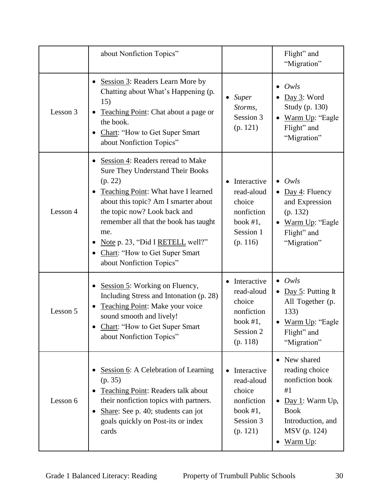|          | about Nonfiction Topics"                                                                                                                                                                                                                                                                                                                                                                 |                                                                                           | Flight" and<br>"Migration"                                                                                                                                         |
|----------|------------------------------------------------------------------------------------------------------------------------------------------------------------------------------------------------------------------------------------------------------------------------------------------------------------------------------------------------------------------------------------------|-------------------------------------------------------------------------------------------|--------------------------------------------------------------------------------------------------------------------------------------------------------------------|
| Lesson 3 | Session 3: Readers Learn More by<br>Chatting about What's Happening (p.<br>15)<br>Teaching Point: Chat about a page or<br>the book.<br>Chart: "How to Get Super Smart<br>about Nonfiction Topics"                                                                                                                                                                                        | <b>Super</b><br>$\bullet$<br>Storms,<br>Session 3<br>(p. 121)                             | Owls<br>Day 3: Word<br>Study (p. 130)<br>Warm Up: "Eagle<br>$\bullet$<br>Flight" and<br>"Migration"                                                                |
| Lesson 4 | Session 4: Readers reread to Make<br>$\bullet$<br>Sure They Understand Their Books<br>(p. 22)<br>Teaching Point: What have I learned<br>$\bullet$<br>about this topic? Am I smarter about<br>the topic now? Look back and<br>remember all that the book has taught<br>me.<br>Note p. 23, "Did I RETELL well?"<br>Chart: "How to Get Super Smart<br>$\bullet$<br>about Nonfiction Topics" | Interactive<br>read-aloud<br>choice<br>nonfiction<br>book $#1$ ,<br>Session 1<br>(p. 116) | Owls<br>$\bullet$<br>Day 4: Fluency<br>$\bullet$<br>and Expression<br>(p. 132)<br>Warm Up: "Eagle<br>$\bullet$<br>Flight" and<br>"Migration"                       |
| Lesson 5 | Session 5: Working on Fluency,<br>Including Stress and Intonation (p. 28)<br>Teaching Point: Make your voice<br>٠<br>sound smooth and lively!<br>Chart: "How to Get Super Smart<br>about Nonfiction Topics"                                                                                                                                                                              | Interactive<br>read-aloud<br>choice<br>nonfiction<br>book $#1$ ,<br>Session 2<br>(p. 118) | Owls<br>$\bullet$<br>Day 5: Putting It<br>$\bullet$<br>All Together (p.<br>133)<br>Warm Up: "Eagle<br>$\bullet$<br>Flight" and<br>"Migration"                      |
| Lesson 6 | Session 6: A Celebration of Learning<br>(p. 35)<br>Teaching Point: Readers talk about<br>their nonfiction topics with partners.<br>Share: See p. 40; students can jot<br>goals quickly on Post-its or index<br>cards                                                                                                                                                                     | Interactive<br>read-aloud<br>choice<br>nonfiction<br>book $#1$ ,<br>Session 3<br>(p. 121) | New shared<br>$\bullet$<br>reading choice<br>nonfiction book<br>#1<br>Day 1: Warm Up,<br><b>Book</b><br>Introduction, and<br>MSV (p. 124)<br>Warm Up:<br>$\bullet$ |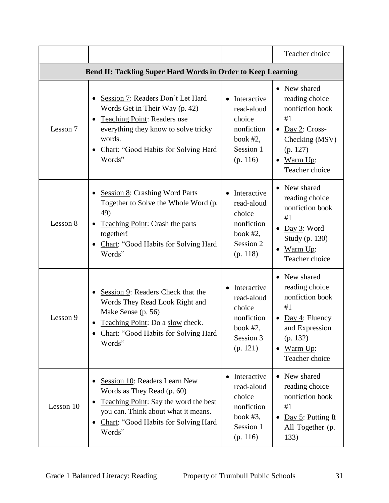|                                                              |                                                                                                                                                                                                                          |                                                                                             | Teacher choice                                                                                                                                                  |
|--------------------------------------------------------------|--------------------------------------------------------------------------------------------------------------------------------------------------------------------------------------------------------------------------|---------------------------------------------------------------------------------------------|-----------------------------------------------------------------------------------------------------------------------------------------------------------------|
| Bend II: Tackling Super Hard Words in Order to Keep Learning |                                                                                                                                                                                                                          |                                                                                             |                                                                                                                                                                 |
| Lesson 7                                                     | Session 7: Readers Don't Let Hard<br>٠<br>Words Get in Their Way (p. 42)<br>Teaching Point: Readers use<br>$\bullet$<br>everything they know to solve tricky<br>words.<br>Chart: "Good Habits for Solving Hard<br>Words" | Interactive<br>read-aloud<br>choice<br>nonfiction<br>book $#2$ ,<br>Session 1<br>(p. 116)   | • New shared<br>reading choice<br>nonfiction book<br>#1<br>Day 2: Cross-<br>$\bullet$<br>Checking (MSV)<br>(p. 127)<br>Warm Up:<br>$\bullet$<br>Teacher choice  |
| Lesson 8                                                     | <b>Session 8: Crashing Word Parts</b><br>$\bullet$<br>Together to Solve the Whole Word (p.<br>49)<br>Teaching Point: Crash the parts<br>$\bullet$<br>together!<br>Chart: "Good Habits for Solving Hard<br>Words"         | Interactive<br>read-aloud<br>choice<br>nonfiction<br>book $#2$ ,<br>Session 2<br>(p. 118)   | • New shared<br>reading choice<br>nonfiction book<br>#1<br>Day 3: Word<br>Study (p. 130)<br>$\bullet$ Warm Up:<br>Teacher choice                                |
| Lesson 9                                                     | Session 9: Readers Check that the<br>$\bullet$<br>Words They Read Look Right and<br>Make Sense (p. 56)<br>Teaching Point: Do a slow check.<br>Chart: "Good Habits for Solving Hard<br>Words"                             | Interactive<br>read-aloud<br>choice<br>nonfiction<br>book $#2$ ,<br>Session 3<br>(p. 121)   | New shared<br>$\bullet$<br>reading choice<br>nonfiction book<br>#1<br>• Day 4: Fluency<br>and Expression<br>(p. 132)<br>Warm Up:<br>$\bullet$<br>Teacher choice |
| Lesson 10                                                    | Session 10: Readers Learn New<br>٠<br>Words as They Read (p. 60)<br>Teaching Point: Say the word the best<br>$\bullet$<br>you can. Think about what it means.<br>Chart: "Good Habits for Solving Hard<br>٠<br>Words"     | • Interactive<br>read-aloud<br>choice<br>nonfiction<br>book $#3$ ,<br>Session 1<br>(p. 116) | • New shared<br>reading choice<br>nonfiction book<br>#1<br>Day 5: Putting It<br>$\bullet$<br>All Together (p.<br>133)                                           |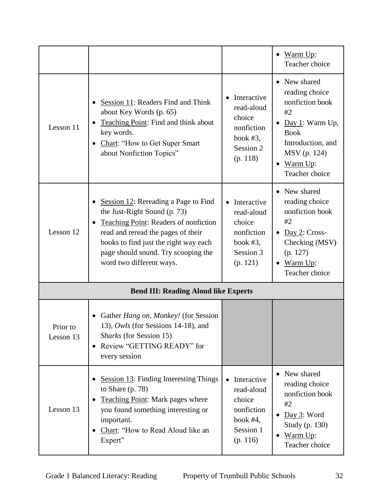|                       |                                                                                                                                                                                                                                                                 |                                                                                           | Warm Up:<br>$\bullet$<br>Teacher choice                                                                                                                                     |
|-----------------------|-----------------------------------------------------------------------------------------------------------------------------------------------------------------------------------------------------------------------------------------------------------------|-------------------------------------------------------------------------------------------|-----------------------------------------------------------------------------------------------------------------------------------------------------------------------------|
| Lesson 11             | Session 11: Readers Find and Think<br>about Key Words (p. 65)<br>Teaching Point: Find and think about<br>key words.<br>Chart: "How to Get Super Smart<br>about Nonfiction Topics"                                                                               | Interactive<br>read-aloud<br>choice<br>nonfiction<br>book $#3$ ,<br>Session 2<br>(p. 118) | • New shared<br>reading choice<br>nonfiction book<br>#2<br>Day 1: Warm Up,<br><b>Book</b><br>Introduction, and<br>MSV (p. 124)<br>Warm Up:<br>$\bullet$<br>Teacher choice   |
| Lesson 12             | Session 12: Rereading a Page to Find<br>the Just-Right Sound (p. 73)<br>Teaching Point: Readers of nonfiction<br>read and reread the pages of their<br>books to find just the right way each<br>page should sound. Try scooping the<br>word two different ways. | Interactive<br>read-aloud<br>choice<br>nonfiction<br>book $#3$ ,<br>Session 3<br>(p. 121) | New shared<br>$\bullet$<br>reading choice<br>nonfiction book<br>#2<br>$Day 2: Cross-$<br>$\bullet$<br>Checking (MSV)<br>(p. 127)<br>Warm Up:<br>$\bullet$<br>Teacher choice |
|                       | <b>Bend III: Reading Aloud like Experts</b>                                                                                                                                                                                                                     |                                                                                           |                                                                                                                                                                             |
| Prior to<br>Lesson 13 | Gather Hang on, Monkey! (for Session<br>13), Owls (for Sessions 14-18), and<br>Sharks (for Session 15)<br>Review "GETTING READY" for<br>$\bullet$<br>every session                                                                                              |                                                                                           |                                                                                                                                                                             |
| Lesson 13             | <b>Session 13: Finding Interesting Things</b><br>to Share $(p. 78)$<br>Teaching Point: Mark pages where<br>you found something interesting or<br>important.<br>Chart: "How to Read Aloud like an<br>Expert"                                                     | Interactive<br>read-aloud<br>choice<br>nonfiction<br>book $#4$ ,<br>Session 1<br>(p. 116) | • New shared<br>reading choice<br>nonfiction book<br>#2<br>Day 3: Word<br>$\bullet$<br>Study (p. 130)<br>Warm Up:<br>$\bullet$<br>Teacher choice                            |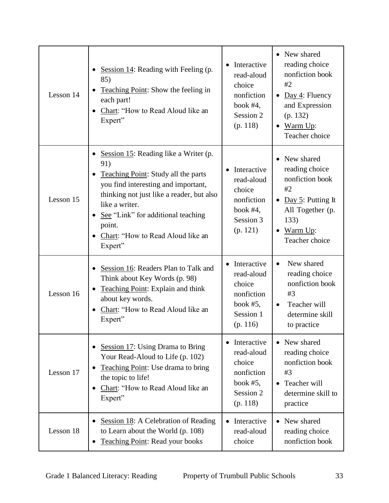| Lesson 14 | Session 14: Reading with Feeling (p.<br>85)<br><b>Teaching Point:</b> Show the feeling in<br>each part!<br>Chart: "How to Read Aloud like an<br>Expert"                                                                                                                                   | Interactive<br>read-aloud<br>choice<br>nonfiction<br>book $#4$ ,<br>Session 2<br>(p. 118)   | • New shared<br>reading choice<br>nonfiction book<br>#2<br>• Day 4: Fluency<br>and Expression<br>(p. 132)<br>Warm Up:<br>$\bullet$<br>Teacher choice |
|-----------|-------------------------------------------------------------------------------------------------------------------------------------------------------------------------------------------------------------------------------------------------------------------------------------------|---------------------------------------------------------------------------------------------|------------------------------------------------------------------------------------------------------------------------------------------------------|
| Lesson 15 | Session 15: Reading like a Writer (p.<br>91)<br>Teaching Point: Study all the parts<br>you find interesting and important,<br>thinking not just like a reader, but also<br>like a writer.<br>See "Link" for additional teaching<br>point.<br>Chart: "How to Read Aloud like an<br>Expert" | Interactive<br>read-aloud<br>choice<br>nonfiction<br>book $#4$ ,<br>Session 3<br>(p. 121)   | New shared<br>reading choice<br>nonfiction book<br>#2<br>• Day 5: Putting It<br>All Together (p.<br>133)<br>Warm Up:<br>$\bullet$<br>Teacher choice  |
| Lesson 16 | Session 16: Readers Plan to Talk and<br>Think about Key Words (p. 98)<br>Teaching Point: Explain and think<br>about key words.<br>Chart: "How to Read Aloud like an<br>Expert"                                                                                                            | • Interactive<br>read-aloud<br>choice<br>nonfiction<br>book $#5$ ,<br>Session 1<br>(p. 116) | New shared<br>$\bullet$<br>reading choice<br>nonfiction book<br>#3<br>Teacher will<br>$\bullet$<br>determine skill<br>to practice                    |
| Lesson 17 | • Session 17: Using Drama to Bring<br>Your Read-Aloud to Life (p. 102)<br>Teaching Point: Use drama to bring<br>the topic to life!<br>Chart: "How to Read Aloud like an<br>Expert"                                                                                                        | Interactive<br>read-aloud<br>choice<br>nonfiction<br>book $#5$ ,<br>Session 2<br>(p. 118)   | • New shared<br>reading choice<br>nonfiction book<br>#3<br>Teacher will<br>$\bullet$<br>determine skill to<br>practice                               |
| Lesson 18 | Session 18: A Celebration of Reading<br>to Learn about the World (p. 108)<br><b>Teaching Point: Read your books</b>                                                                                                                                                                       | • Interactive<br>read-aloud<br>choice                                                       | New shared<br>reading choice<br>nonfiction book                                                                                                      |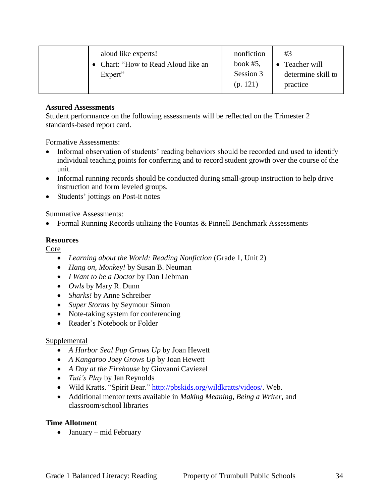| aloud like experts!<br>• Chart: "How to Read Aloud like an<br>Expert" | nonfiction<br>book $#5$ ,<br>Session 3<br>(p. 121) | #3<br>Teacher will<br>$\bullet$<br>determine skill to<br>practice |
|-----------------------------------------------------------------------|----------------------------------------------------|-------------------------------------------------------------------|
|-----------------------------------------------------------------------|----------------------------------------------------|-------------------------------------------------------------------|

Student performance on the following assessments will be reflected on the Trimester 2 standards-based report card.

Formative Assessments:

- Informal observation of students' reading behaviors should be recorded and used to identify individual teaching points for conferring and to record student growth over the course of the unit.
- Informal running records should be conducted during small-group instruction to help drive instruction and form leveled groups.
- Students' jottings on Post-it notes

Summative Assessments:

Formal Running Records utilizing the Fountas & Pinnell Benchmark Assessments

## **Resources**

Core

- *Learning about the World: Reading Nonfiction* (Grade 1, Unit 2)
- *Hang on, Monkey!* by Susan B. Neuman
- *I Want to be a Doctor* by Dan Liebman
- *Owls* by Mary R. Dunn
- *Sharks!* by Anne Schreiber
- *Super Storms* by Seymour Simon
- Note-taking system for conferencing
- Reader's Notebook or Folder

## Supplemental

- *A Harbor Seal Pup Grows Up* by Joan Hewett
- *A Kangaroo Joey Grows Up* by Joan Hewett
- *A Day at the Firehouse* by Giovanni Caviezel
- *Tuti's Play* by Jan Reynolds
- Wild Kratts. "Spirit Bear." [http://pbskids.org/wildkratts/videos/.](http://pbskids.org/wildkratts/videos/) Web.
- Additional mentor texts available in *Making Meaning*, *Being a Writer*, and classroom/school libraries

## **Time Allotment**

January – mid February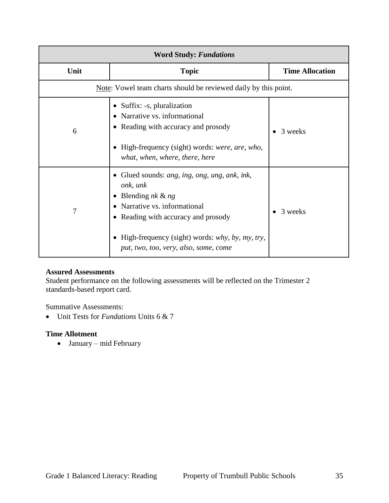| <b>Word Study: Fundations</b> |                                                                                                                                                                                                                                                                          |                        |
|-------------------------------|--------------------------------------------------------------------------------------------------------------------------------------------------------------------------------------------------------------------------------------------------------------------------|------------------------|
| Unit                          | <b>Topic</b>                                                                                                                                                                                                                                                             | <b>Time Allocation</b> |
|                               | Note: Vowel team charts should be reviewed daily by this point.                                                                                                                                                                                                          |                        |
| 6                             | • Suffix: $-s$ , pluralization<br>Narrative vs. informational<br>$\bullet$<br>• Reading with accuracy and prosody<br>High-frequency (sight) words: were, are, who,<br>what, when, where, there, here                                                                     | 3 weeks                |
| 7                             | Glued sounds: ang, ing, ong, ung, ank, ink,<br>onk, unk<br>Blending $nk \& ng$<br>Narrative vs. informational<br>$\bullet$<br>Reading with accuracy and prosody<br>$\bullet$<br>High-frequency (sight) words: why, by, my, try,<br>put, two, too, very, also, some, come | 3 weeks                |

Student performance on the following assessments will be reflected on the Trimester 2 standards-based report card.

Summative Assessments:

Unit Tests for *Fundations* Units 6 & 7

#### **Time Allotment**

January – mid February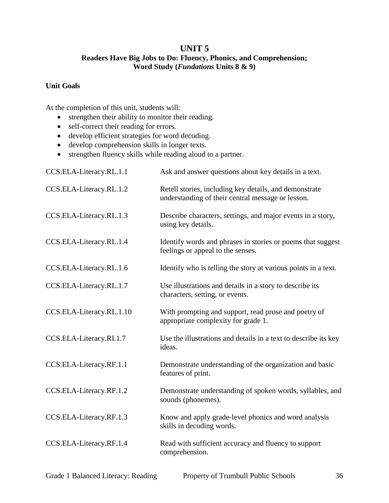## **UNIT 5**

## **Readers Have Big Jobs to Do: Fluency, Phonics, and Comprehension; Word Study (***Fundations* **Units 8 & 9)**

## **Unit Goals**

- strengthen their ability to monitor their reading.
- self-correct their reading for errors.
- develop efficient strategies for word decoding.
- develop comprehension skills in longer texts.
- strengthen fluency skills while reading aloud to a partner.

| CCS.ELA-Literacy.RL.1.1  | Ask and answer questions about key details in a text.                                                       |
|--------------------------|-------------------------------------------------------------------------------------------------------------|
| CCS.ELA-Literacy.RL.1.2  | Retell stories, including key details, and demonstrate<br>understanding of their central message or lesson. |
| CCS.ELA-Literacy.RL.1.3  | Describe characters, settings, and major events in a story,<br>using key details.                           |
| CCS.ELA-Literacy.RL.1.4  | Identify words and phrases in stories or poems that suggest<br>feelings or appeal to the senses.            |
| CCS.ELA-Literacy.RL.1.6  | Identify who is telling the story at various points in a text.                                              |
| CCS.ELA-Literacy.RL.1.7  | Use illustrations and details in a story to describe its<br>characters, setting, or events.                 |
| CCS.ELA-Literacy.RL.1.10 | With prompting and support, read prose and poetry of<br>appropriate complexity for grade 1.                 |
| CCS.ELA-Literacy.RI.1.7  | Use the illustrations and details in a text to describe its key<br>ideas.                                   |
| CCS.ELA-Literacy.RF.1.1  | Demonstrate understanding of the organization and basic<br>features of print.                               |
| CCS.ELA-Literacy.RF.1.2  | Demonstrate understanding of spoken words, syllables, and<br>sounds (phonemes).                             |
| CCS.ELA-Literacy.RF.1.3  | Know and apply grade-level phonics and word analysis<br>skills in decoding words.                           |
| CCS.ELA-Literacy.RF.1.4  | Read with sufficient accuracy and fluency to support<br>comprehension.                                      |
|                          |                                                                                                             |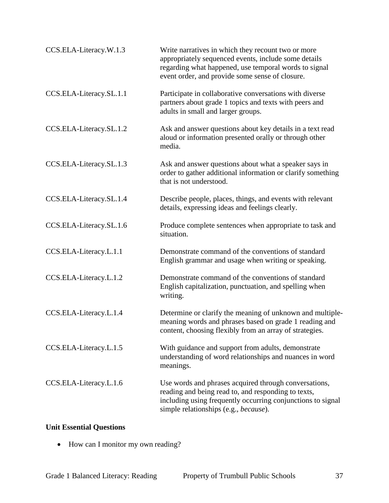| CCS.ELA-Literacy.W.1.3  | Write narratives in which they recount two or more<br>appropriately sequenced events, include some details<br>regarding what happened, use temporal words to signal<br>event order, and provide some sense of closure. |
|-------------------------|------------------------------------------------------------------------------------------------------------------------------------------------------------------------------------------------------------------------|
| CCS.ELA-Literacy.SL.1.1 | Participate in collaborative conversations with diverse<br>partners about grade 1 topics and texts with peers and<br>adults in small and larger groups.                                                                |
| CCS.ELA-Literacy.SL.1.2 | Ask and answer questions about key details in a text read<br>aloud or information presented orally or through other<br>media.                                                                                          |
| CCS.ELA-Literacy.SL.1.3 | Ask and answer questions about what a speaker says in<br>order to gather additional information or clarify something<br>that is not understood.                                                                        |
| CCS.ELA-Literacy.SL.1.4 | Describe people, places, things, and events with relevant<br>details, expressing ideas and feelings clearly.                                                                                                           |
| CCS.ELA-Literacy.SL.1.6 | Produce complete sentences when appropriate to task and<br>situation.                                                                                                                                                  |
| CCS.ELA-Literacy.L.1.1  | Demonstrate command of the conventions of standard<br>English grammar and usage when writing or speaking.                                                                                                              |
| CCS.ELA-Literacy.L.1.2  | Demonstrate command of the conventions of standard<br>English capitalization, punctuation, and spelling when<br>writing.                                                                                               |
| CCS.ELA-Literacy.L.1.4  | Determine or clarify the meaning of unknown and multiple-<br>meaning words and phrases based on grade 1 reading and<br>content, choosing flexibly from an array of strategies.                                         |
| CCS.ELA-Literacy.L.1.5  | With guidance and support from adults, demonstrate<br>understanding of word relationships and nuances in word<br>meanings.                                                                                             |
| CCS.ELA-Literacy.L.1.6  | Use words and phrases acquired through conversations,<br>reading and being read to, and responding to texts,<br>including using frequently occurring conjunctions to signal<br>simple relationships (e.g., because).   |

# **Unit Essential Questions**

• How can I monitor my own reading?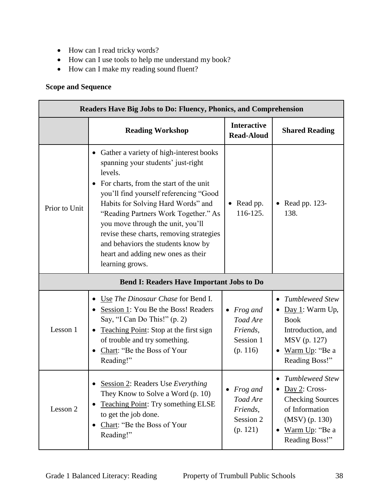- How can I read tricky words?
- How can I use tools to help me understand my book?
- How can I make my reading sound fluent?

## **Scope and Sequence**

| <b>Readers Have Big Jobs to Do: Fluency, Phonics, and Comprehension</b> |                                                                                                                                                                                                                                                                                                                                                                                                                                            |                                                                  |                                                                                                                                                                |
|-------------------------------------------------------------------------|--------------------------------------------------------------------------------------------------------------------------------------------------------------------------------------------------------------------------------------------------------------------------------------------------------------------------------------------------------------------------------------------------------------------------------------------|------------------------------------------------------------------|----------------------------------------------------------------------------------------------------------------------------------------------------------------|
|                                                                         | <b>Reading Workshop</b>                                                                                                                                                                                                                                                                                                                                                                                                                    | <b>Interactive</b><br><b>Read-Aloud</b>                          | <b>Shared Reading</b>                                                                                                                                          |
| Prior to Unit                                                           | Gather a variety of high-interest books<br>spanning your students' just-right<br>levels.<br>For charts, from the start of the unit<br>you'll find yourself referencing "Good<br>Habits for Solving Hard Words" and<br>"Reading Partners Work Together." As<br>you move through the unit, you'll<br>revise these charts, removing strategies<br>and behaviors the students know by<br>heart and adding new ones as their<br>learning grows. | • Read pp.<br>116-125.                                           | Read pp. 123-<br>138.                                                                                                                                          |
|                                                                         | <b>Bend I: Readers Have Important Jobs to Do</b>                                                                                                                                                                                                                                                                                                                                                                                           |                                                                  |                                                                                                                                                                |
| Lesson 1                                                                | Use The Dinosaur Chase for Bend I.<br>Session 1: You Be the Boss! Readers<br>Say, "I Can Do This!" (p. 2)<br>Teaching Point: Stop at the first sign<br>of trouble and try something.<br>Chart: "Be the Boss of Your<br>$\bullet$<br>Reading!"                                                                                                                                                                                              | <i>Frog and</i><br>Toad Are<br>Friends,<br>Session 1<br>(p. 116) | <b>Tumbleweed Stew</b><br>$\bullet$<br>$Day 1$ : Warm Up,<br><b>Book</b><br>Introduction, and<br>MSV (p. 127)<br>Warm Up: "Be a<br>$\bullet$<br>Reading Boss!" |
| Lesson 2                                                                | • Session 2: Readers Use Everything<br>They Know to Solve a Word (p. 10)<br><b>Teaching Point: Try something ELSE</b><br>٠<br>to get the job done.<br>Chart: "Be the Boss of Your<br>Reading!"                                                                                                                                                                                                                                             | <i>Frog and</i><br>Toad Are<br>Friends,<br>Session 2<br>(p. 121) | <b>Tumbleweed Stew</b><br>$\frac{\text{Day 2: Cross-}}{}$<br><b>Checking Sources</b><br>of Information<br>$(MSV)$ (p. 130)<br>Warm Up: "Be a<br>Reading Boss!" |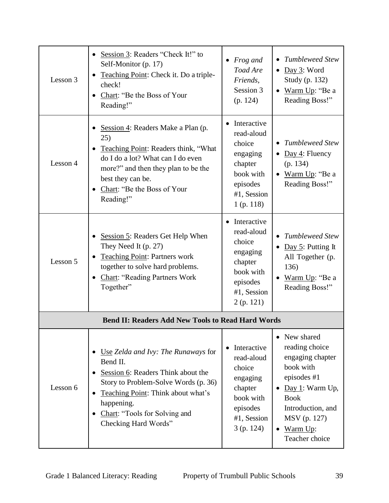| Lesson 3 | Session 3: Readers "Check It!" to<br>Self-Monitor (p. 17)<br>Teaching Point: Check it. Do a triple-<br>check!<br>Chart: "Be the Boss of Your<br>Reading!"                                                                                               | $\bullet$ Frog and<br>Toad Are<br>Friends,<br>Session 3<br>(p. 124)                                                  | <b>Tumbleweed Stew</b><br>$\bullet$<br>$\bullet$ Day 3: Word<br>Study (p. 132)<br>Warm Up: "Be a<br>$\bullet$<br>Reading Boss!"                                                                                |
|----------|---------------------------------------------------------------------------------------------------------------------------------------------------------------------------------------------------------------------------------------------------------|----------------------------------------------------------------------------------------------------------------------|----------------------------------------------------------------------------------------------------------------------------------------------------------------------------------------------------------------|
| Lesson 4 | Session 4: Readers Make a Plan (p.<br>25)<br>Teaching Point: Readers think, "What<br>do I do a lot? What can I do even<br>more?" and then they plan to be the<br>best they can be.<br>Chart: "Be the Boss of Your<br>Reading!"                          | • Interactive<br>read-aloud<br>choice<br>engaging<br>chapter<br>book with<br>episodes<br>#1, Session<br>$1$ (p. 118) | <b>Tumbleweed Stew</b><br>• Day 4: Fluency<br>(p. 134)<br>Warm Up: "Be a<br>Reading Boss!"                                                                                                                     |
| Lesson 5 | Session 5: Readers Get Help When<br>They Need It (p. 27)<br><b>Teaching Point: Partners work</b><br>together to solve hard problems.<br><b>Chart: "Reading Partners Work</b><br>Together"                                                               | • Interactive<br>read-aloud<br>choice<br>engaging<br>chapter<br>book with<br>episodes<br>#1, Session<br>2(p. 121)    | <b>Tumbleweed Stew</b><br>$\bullet$<br>Day 5: Putting It<br>$\bullet$<br>All Together (p.<br>136)<br>Warm Up: "Be a<br>Reading Boss!"                                                                          |
|          | <b>Bend II: Readers Add New Tools to Read Hard Words</b>                                                                                                                                                                                                |                                                                                                                      |                                                                                                                                                                                                                |
| Lesson 6 | Use Zelda and Ivy: The Runaways for<br>Bend II.<br>Session 6: Readers Think about the<br>Story to Problem-Solve Words (p. 36)<br>Teaching Point: Think about what's<br>$\bullet$<br>happening.<br>Chart: "Tools for Solving and<br>Checking Hard Words" | Interactive<br>read-aloud<br>choice<br>engaging<br>chapter<br>book with<br>episodes<br>#1, Session<br>$3$ (p. 124)   | New shared<br>reading choice<br>engaging chapter<br>book with<br>episodes #1<br>$Day 1$ : Warm Up,<br>$\bullet$<br><b>Book</b><br>Introduction, and<br>MSV (p. 127)<br>Warm Up:<br>$\bullet$<br>Teacher choice |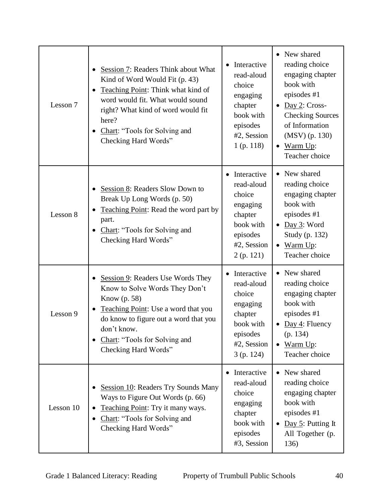| Lesson 7  | Session 7: Readers Think about What<br>$\bullet$<br>Kind of Word Would Fit (p. 43)<br>Teaching Point: Think what kind of<br>word would fit. What would sound<br>right? What kind of word would fit<br>here?<br>Chart: "Tools for Solving and<br>Checking Hard Words" | Interactive<br>read-aloud<br>choice<br>engaging<br>chapter<br>book with<br>episodes<br>#2, Session<br>$1$ (p. 118) | • New shared<br>reading choice<br>engaging chapter<br>book with<br>episodes #1<br>$Day 2: Cross-$<br><b>Checking Sources</b><br>of Information<br>$(MSV)$ (p. 130)<br>$\bullet$ Warm Up:<br>Teacher choice |
|-----------|----------------------------------------------------------------------------------------------------------------------------------------------------------------------------------------------------------------------------------------------------------------------|--------------------------------------------------------------------------------------------------------------------|------------------------------------------------------------------------------------------------------------------------------------------------------------------------------------------------------------|
| Lesson 8  | Session 8: Readers Slow Down to<br>Break Up Long Words (p. 50)<br>Teaching Point: Read the word part by<br>part.<br>Chart: "Tools for Solving and<br>Checking Hard Words"                                                                                            | Interactive<br>read-aloud<br>choice<br>engaging<br>chapter<br>book with<br>episodes<br>#2, Session<br>2(p. 121)    | New shared<br>reading choice<br>engaging chapter<br>book with<br>episodes #1<br>Day 3: Word<br>$\bullet$<br>Study (p. 132)<br>$\bullet$ Warm Up:<br>Teacher choice                                         |
| Lesson 9  | Session 9: Readers Use Words They<br>Know to Solve Words They Don't<br>Know (p. 58)<br>Teaching Point: Use a word that you<br>do know to figure out a word that you<br>don't know.<br>Chart: "Tools for Solving and<br>٠<br>Checking Hard Words"                     | Interactive<br>read-aloud<br>choice<br>engaging<br>chapter<br>book with<br>episodes<br>#2, Session<br>3(p. 124)    | New shared<br>reading choice<br>engaging chapter<br>book with<br>episodes #1<br>Day 4: Fluency<br>$\bullet$<br>(p. 134)<br>Warm Up:<br>$\bullet$<br>Teacher choice                                         |
| Lesson 10 | <b>Session 10: Readers Try Sounds Many</b><br>Ways to Figure Out Words (p. 66)<br>Teaching Point: Try it many ways.<br>Chart: "Tools for Solving and<br>Checking Hard Words"                                                                                         | Interactive<br>read-aloud<br>choice<br>engaging<br>chapter<br>book with<br>episodes<br>#3, Session                 | New shared<br>reading choice<br>engaging chapter<br>book with<br>episodes #1<br>Day 5: Putting It<br>$\bullet$<br>All Together (p.<br>136)                                                                 |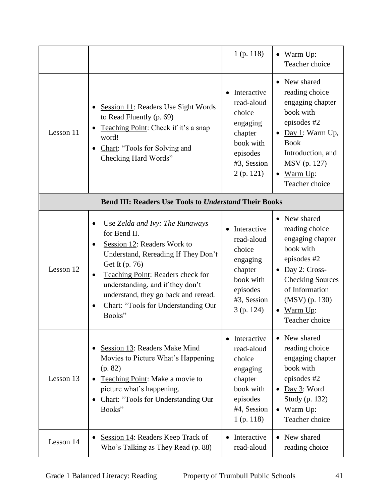|           |                                                                                                                                                                                                                                                                                                                                               | $1$ (p. 118)                                                                                                       | Warm Up:<br>$\bullet$<br>Teacher choice                                                                                                                                                                               |
|-----------|-----------------------------------------------------------------------------------------------------------------------------------------------------------------------------------------------------------------------------------------------------------------------------------------------------------------------------------------------|--------------------------------------------------------------------------------------------------------------------|-----------------------------------------------------------------------------------------------------------------------------------------------------------------------------------------------------------------------|
| Lesson 11 | Session 11: Readers Use Sight Words<br>to Read Fluently (p. 69)<br>Teaching Point: Check if it's a snap<br>word!<br>Chart: "Tools for Solving and<br>$\bullet$<br>Checking Hard Words"                                                                                                                                                        | Interactive<br>read-aloud<br>choice<br>engaging<br>chapter<br>book with<br>episodes<br>#3, Session<br>2(p. 121)    | • New shared<br>reading choice<br>engaging chapter<br>book with<br>episodes #2<br>$\bullet$ Day 1: Warm Up,<br><b>Book</b><br>Introduction, and<br>MSV (p. 127)<br>$\bullet$ Warm Up:<br>Teacher choice               |
|           | <b>Bend III: Readers Use Tools to Understand Their Books</b>                                                                                                                                                                                                                                                                                  |                                                                                                                    |                                                                                                                                                                                                                       |
| Lesson 12 | Use Zelda and Ivy: The Runaways<br>٠<br>for Bend II.<br>Session 12: Readers Work to<br>$\bullet$<br>Understand, Rereading If They Don't<br>Get It (p. 76)<br>Teaching Point: Readers check for<br>$\bullet$<br>understanding, and if they don't<br>understand, they go back and reread.<br>Chart: "Tools for Understanding Our<br>٠<br>Books" | Interactive<br>read-aloud<br>choice<br>engaging<br>chapter<br>book with<br>episodes<br>#3, Session<br>3(p. 124)    | • New shared<br>reading choice<br>engaging chapter<br>book with<br>episodes #2<br>$\bullet$ Day 2: Cross-<br><b>Checking Sources</b><br>of Information<br>$(MSV)$ (p. 130)<br>Warm Up:<br>$\bullet$<br>Teacher choice |
| Lesson 13 | Session 13: Readers Make Mind<br>Movies to Picture What's Happening<br>(p. 82)<br>Teaching Point: Make a movie to<br>picture what's happening.<br>Chart: "Tools for Understanding Our<br>$\bullet$<br>Books"                                                                                                                                  | Interactive<br>read-aloud<br>choice<br>engaging<br>chapter<br>book with<br>episodes<br>#4, Session<br>$1$ (p. 118) | • New shared<br>reading choice<br>engaging chapter<br>book with<br>episodes #2<br>$\bullet$ Day 3: Word<br>Study (p. 132)<br>Warm Up:<br>$\bullet$<br>Teacher choice                                                  |
| Lesson 14 | Session 14: Readers Keep Track of<br>$\bullet$<br>Who's Talking as They Read (p. 88)                                                                                                                                                                                                                                                          | Interactive<br>read-aloud                                                                                          | New shared<br>$\bullet$<br>reading choice                                                                                                                                                                             |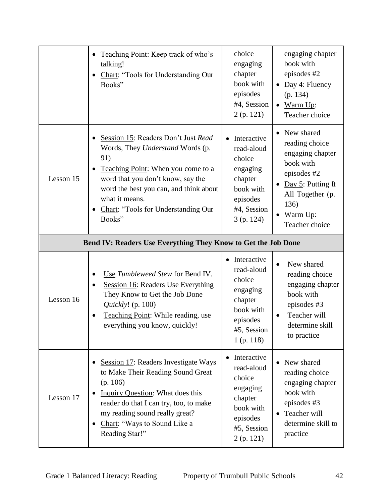|                                                               | Teaching Point: Keep track of who's<br>$\bullet$<br>talking!<br>Chart: "Tools for Understanding Our<br>٠<br>Books"                                                                                                                                                                               | choice<br>engaging<br>chapter<br>book with<br>episodes<br>#4, Session<br>2(p. 121)                                              | engaging chapter<br>book with<br>episodes #2<br>Day 4: Fluency<br>$\bullet$<br>(p. 134)<br>Warm Up:<br>$\bullet$<br>Teacher choice                                                                    |
|---------------------------------------------------------------|--------------------------------------------------------------------------------------------------------------------------------------------------------------------------------------------------------------------------------------------------------------------------------------------------|---------------------------------------------------------------------------------------------------------------------------------|-------------------------------------------------------------------------------------------------------------------------------------------------------------------------------------------------------|
| Lesson 15                                                     | Session 15: Readers Don't Just Read<br>$\bullet$<br>Words, They Understand Words (p.<br>91)<br>Teaching Point: When you come to a<br>$\bullet$<br>word that you don't know, say the<br>word the best you can, and think about<br>what it means.<br>Chart: "Tools for Understanding Our<br>Books" | Interactive<br>$\bullet$<br>read-aloud<br>choice<br>engaging<br>chapter<br>book with<br>episodes<br>#4, Session<br>$3$ (p. 124) | New shared<br>$\bullet$<br>reading choice<br>engaging chapter<br>book with<br>episodes #2<br>Day $5$ : Putting It<br>$\bullet$<br>All Together (p.<br>136)<br>Warm Up:<br>$\bullet$<br>Teacher choice |
| Bend IV: Readers Use Everything They Know to Get the Job Done |                                                                                                                                                                                                                                                                                                  |                                                                                                                                 |                                                                                                                                                                                                       |
| Lesson 16                                                     | Use Tumbleweed Stew for Bend IV.<br>Session 16: Readers Use Everything<br>$\bullet$<br>They Know to Get the Job Done<br>Quickly! (p. 100)<br>Teaching Point: While reading, use<br>everything you know, quickly!                                                                                 | Interactive<br>$\bullet$<br>read-aloud<br>choice<br>engaging<br>chapter<br>book with<br>episodes<br>#5, Session<br>$1$ (p. 118) | New shared<br>$\bullet$<br>reading choice<br>engaging chapter<br>book with<br>episodes #3<br>Teacher will<br>$\bullet$<br>determine skill<br>to practice                                              |
| Lesson 17                                                     | • Session 17: Readers Investigate Ways<br>to Make Their Reading Sound Great<br>(p. 106)<br>Inquiry Question: What does this<br>$\bullet$<br>reader do that I can try, too, to make<br>my reading sound really great?<br>• Chart: "Ways to Sound Like a<br>Reading Star!"                         | Interactive<br>read-aloud<br>choice<br>engaging<br>chapter<br>book with<br>episodes<br>#5, Session                              | • New shared<br>reading choice<br>engaging chapter<br>book with<br>episodes #3<br>Teacher will<br>$\bullet$<br>determine skill to<br>practice                                                         |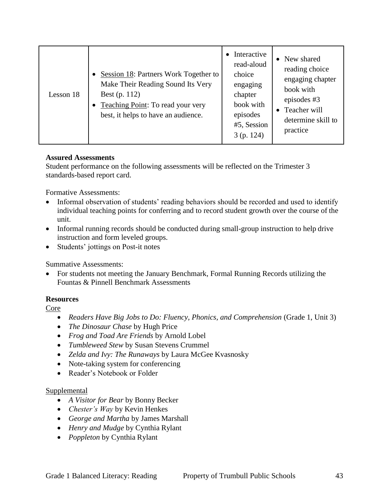| Lesson 18 | Session 18: Partners Work Together to<br>$\bullet$<br>Make Their Reading Sound Its Very<br>Best (p. 112)<br><b>Teaching Point:</b> To read your very<br>best, it helps to have an audience. | Interactive<br>read-aloud<br>choice<br>engaging<br>chapter<br>book with<br>episodes<br>#5, Session<br>3(p. 124) | New shared<br>$\bullet$<br>reading choice<br>engaging chapter<br>book with<br>episodes #3<br>Teacher will<br>determine skill to<br>practice |
|-----------|---------------------------------------------------------------------------------------------------------------------------------------------------------------------------------------------|-----------------------------------------------------------------------------------------------------------------|---------------------------------------------------------------------------------------------------------------------------------------------|
|-----------|---------------------------------------------------------------------------------------------------------------------------------------------------------------------------------------------|-----------------------------------------------------------------------------------------------------------------|---------------------------------------------------------------------------------------------------------------------------------------------|

Student performance on the following assessments will be reflected on the Trimester 3 standards-based report card.

Formative Assessments:

- Informal observation of students' reading behaviors should be recorded and used to identify individual teaching points for conferring and to record student growth over the course of the unit.
- Informal running records should be conducted during small-group instruction to help drive instruction and form leveled groups.
- Students' jottings on Post-it notes

Summative Assessments:

 For students not meeting the January Benchmark, Formal Running Records utilizing the Fountas & Pinnell Benchmark Assessments

#### **Resources**

Core

- Readers Have Big Jobs to Do: Fluency, Phonics, and Comprehension (Grade 1, Unit 3)
- *The Dinosaur Chase* by Hugh Price
- *Frog and Toad Are Friends* by Arnold Lobel
- *Tumbleweed Stew* by Susan Stevens Crummel
- *Zelda and Ivy: The Runaways* by Laura McGee Kvasnosky
- Note-taking system for conferencing
- Reader's Notebook or Folder

#### **Supplemental**

- *A Visitor for Bear* by Bonny Becker
- *Chester's Way* by Kevin Henkes
- *George and Martha* by James Marshall
- *Henry and Mudge* by Cynthia Rylant
- *Poppleton* by Cynthia Rylant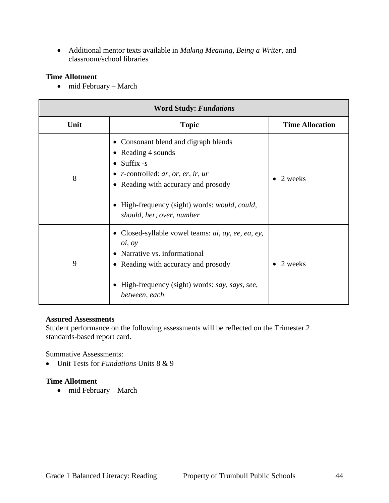Additional mentor texts available in *Making Meaning*, *Being a Writer*, and classroom/school libraries

## **Time Allotment**

• mid February – March

| <b>Word Study: Fundations</b> |                                                                                                                                                                                                                                                                                                        |                        |  |
|-------------------------------|--------------------------------------------------------------------------------------------------------------------------------------------------------------------------------------------------------------------------------------------------------------------------------------------------------|------------------------|--|
| Unit                          | <b>Topic</b>                                                                                                                                                                                                                                                                                           | <b>Time Allocation</b> |  |
| 8                             | • Consonant blend and digraph blends<br>• Reading 4 sounds<br>$\bullet$ Suffix -s<br>$\bullet$ <i>r</i> -controlled: <i>ar</i> , <i>or</i> , <i>er</i> , <i>ir</i> , <i>ur</i><br>• Reading with accuracy and prosody<br>High-frequency (sight) words: would, could,<br>٠<br>should, her, over, number | 2 weeks                |  |
| 9                             | • Closed-syllable vowel teams: $ai$ , $ay$ , $ee$ , $ea$ , $ey$ ,<br>oi, oy<br>Narrative vs. informational<br>$\bullet$<br>• Reading with accuracy and prosody<br>High-frequency (sight) words: say, says, see,<br>between, each                                                                       | 2 weeks                |  |

#### **Assured Assessments**

Student performance on the following assessments will be reflected on the Trimester 2 standards-based report card.

Summative Assessments:

Unit Tests for *Fundations* Units 8 & 9

## **Time Allotment**

• mid February – March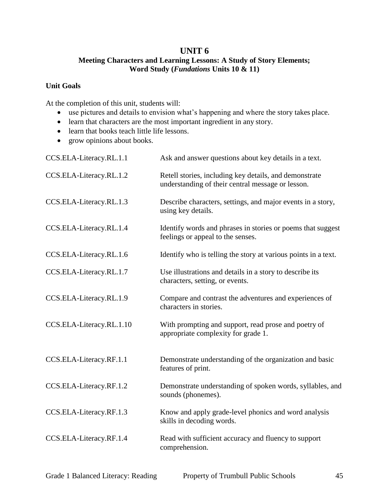## **UNIT 6**

## **Meeting Characters and Learning Lessons: A Study of Story Elements; Word Study (***Fundations* **Units 10 & 11)**

## **Unit Goals**

- use pictures and details to envision what's happening and where the story takes place.
- learn that characters are the most important ingredient in any story.
- learn that books teach little life lessons.
- grow opinions about books.

| CCS.ELA-Literacy.RL.1.1  | Ask and answer questions about key details in a text.                                                       |
|--------------------------|-------------------------------------------------------------------------------------------------------------|
| CCS.ELA-Literacy.RL.1.2  | Retell stories, including key details, and demonstrate<br>understanding of their central message or lesson. |
| CCS.ELA-Literacy.RL.1.3  | Describe characters, settings, and major events in a story,<br>using key details.                           |
| CCS.ELA-Literacy.RL.1.4  | Identify words and phrases in stories or poems that suggest<br>feelings or appeal to the senses.            |
| CCS.ELA-Literacy.RL.1.6  | Identify who is telling the story at various points in a text.                                              |
| CCS.ELA-Literacy.RL.1.7  | Use illustrations and details in a story to describe its<br>characters, setting, or events.                 |
| CCS.ELA-Literacy.RL.1.9  | Compare and contrast the adventures and experiences of<br>characters in stories.                            |
| CCS.ELA-Literacy.RL.1.10 | With prompting and support, read prose and poetry of<br>appropriate complexity for grade 1.                 |
| CCS.ELA-Literacy.RF.1.1  | Demonstrate understanding of the organization and basic<br>features of print.                               |
| CCS.ELA-Literacy.RF.1.2  | Demonstrate understanding of spoken words, syllables, and<br>sounds (phonemes).                             |
| CCS.ELA-Literacy.RF.1.3  | Know and apply grade-level phonics and word analysis<br>skills in decoding words.                           |
| CCS.ELA-Literacy.RF.1.4  | Read with sufficient accuracy and fluency to support<br>comprehension.                                      |
|                          |                                                                                                             |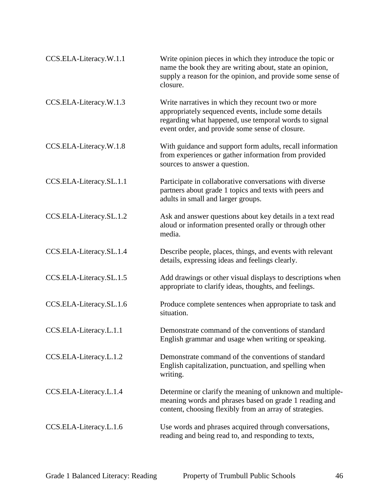| CCS.ELA-Literacy.W.1.1  | Write opinion pieces in which they introduce the topic or<br>name the book they are writing about, state an opinion,<br>supply a reason for the opinion, and provide some sense of<br>closure.                         |
|-------------------------|------------------------------------------------------------------------------------------------------------------------------------------------------------------------------------------------------------------------|
| CCS.ELA-Literacy.W.1.3  | Write narratives in which they recount two or more<br>appropriately sequenced events, include some details<br>regarding what happened, use temporal words to signal<br>event order, and provide some sense of closure. |
| CCS.ELA-Literacy.W.1.8  | With guidance and support form adults, recall information<br>from experiences or gather information from provided<br>sources to answer a question.                                                                     |
| CCS.ELA-Literacy.SL.1.1 | Participate in collaborative conversations with diverse<br>partners about grade 1 topics and texts with peers and<br>adults in small and larger groups.                                                                |
| CCS.ELA-Literacy.SL.1.2 | Ask and answer questions about key details in a text read<br>aloud or information presented orally or through other<br>media.                                                                                          |
| CCS.ELA-Literacy.SL.1.4 | Describe people, places, things, and events with relevant<br>details, expressing ideas and feelings clearly.                                                                                                           |
| CCS.ELA-Literacy.SL.1.5 | Add drawings or other visual displays to descriptions when<br>appropriate to clarify ideas, thoughts, and feelings.                                                                                                    |
| CCS.ELA-Literacy.SL.1.6 | Produce complete sentences when appropriate to task and<br>situation.                                                                                                                                                  |
| CCS.ELA-Literacy.L.1.1  | Demonstrate command of the conventions of standard<br>English grammar and usage when writing or speaking.                                                                                                              |
| CCS.ELA-Literacy.L.1.2  | Demonstrate command of the conventions of standard<br>English capitalization, punctuation, and spelling when<br>writing.                                                                                               |
| CCS.ELA-Literacy.L.1.4  | Determine or clarify the meaning of unknown and multiple-<br>meaning words and phrases based on grade 1 reading and<br>content, choosing flexibly from an array of strategies.                                         |
| CCS.ELA-Literacy.L.1.6  | Use words and phrases acquired through conversations,<br>reading and being read to, and responding to texts,                                                                                                           |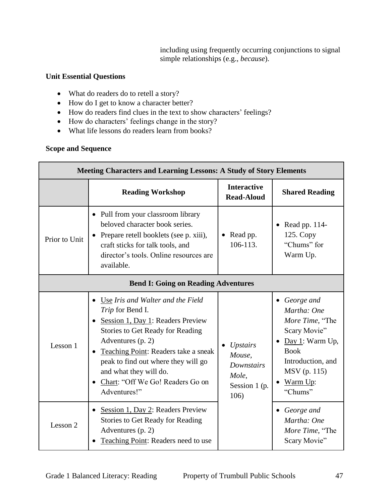including using frequently occurring conjunctions to signal simple relationships (e.g., *because*).

## **Unit Essential Questions**

- What do readers do to retell a story?
- How do I get to know a character better?
- How do readers find clues in the text to show characters' feelings?
- How do characters' feelings change in the story?
- What life lessons do readers learn from books?

## **Scope and Sequence**

| <b>Meeting Characters and Learning Lessons: A Study of Story Elements</b> |                                                                                                                                                                                                                                                                                                                    |                                                                                  |                                                                                                                                                                           |  |
|---------------------------------------------------------------------------|--------------------------------------------------------------------------------------------------------------------------------------------------------------------------------------------------------------------------------------------------------------------------------------------------------------------|----------------------------------------------------------------------------------|---------------------------------------------------------------------------------------------------------------------------------------------------------------------------|--|
|                                                                           | <b>Reading Workshop</b>                                                                                                                                                                                                                                                                                            | <b>Interactive</b><br><b>Read-Aloud</b>                                          | <b>Shared Reading</b>                                                                                                                                                     |  |
| Prior to Unit                                                             | • Pull from your classroom library<br>beloved character book series.<br>Prepare retell booklets (see p. xiii),<br>craft sticks for talk tools, and<br>director's tools. Online resources are<br>available.                                                                                                         | Read pp.<br>106-113.                                                             | Read pp. 114-<br>$\bullet$<br>125. Copy<br>"Chums" for<br>Warm Up.                                                                                                        |  |
| <b>Bend I: Going on Reading Adventures</b>                                |                                                                                                                                                                                                                                                                                                                    |                                                                                  |                                                                                                                                                                           |  |
| Lesson 1                                                                  | • Use Iris and Walter and the Field<br>Trip for Bend I.<br>Session 1, Day 1: Readers Preview<br>Stories to Get Ready for Reading<br>Adventures (p. 2)<br>Teaching Point: Readers take a sneak<br>peak to find out where they will go<br>and what they will do.<br>Chart: "Off We Go! Readers Go on<br>Adventures!" | <i>Upstairs</i><br>Mouse,<br><b>Downstairs</b><br>Mole,<br>Session 1 (p.<br>106) | • George and<br>Martha: One<br>More Time, "The<br>Scary Movie"<br>Day 1: Warm Up,<br>$\bullet$<br><b>Book</b><br>Introduction, and<br>MSV (p. 115)<br>Warm Up:<br>"Chums" |  |
| Lesson 2                                                                  | Session 1, Day 2: Readers Preview<br>$\bullet$<br>Stories to Get Ready for Reading<br>Adventures (p. 2)<br>Teaching Point: Readers need to use                                                                                                                                                                     |                                                                                  | • George and<br>Martha: One<br>More Time, "The<br>Scary Movie"                                                                                                            |  |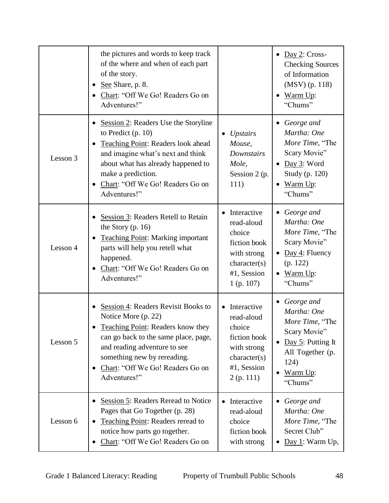|          | the pictures and words to keep track<br>of the where and when of each part<br>of the story.<br>See Share, p. 8.<br>$\bullet$<br>Chart: "Off We Go! Readers Go on<br>Adventures!"                                                                                                       |                                                                                                                             | Day 2: Cross-<br>$\bullet$<br><b>Checking Sources</b><br>of Information<br>$(MSV)$ (p. 118)<br>Warm Up:<br>"Chums"                                        |
|----------|----------------------------------------------------------------------------------------------------------------------------------------------------------------------------------------------------------------------------------------------------------------------------------------|-----------------------------------------------------------------------------------------------------------------------------|-----------------------------------------------------------------------------------------------------------------------------------------------------------|
| Lesson 3 | Session 2: Readers Use the Storyline<br>$\bullet$<br>to Predict $(p. 10)$<br>Teaching Point: Readers look ahead<br>٠<br>and imagine what's next and think<br>about what has already happened to<br>make a prediction.<br>Chart: "Off We Go! Readers Go on<br>$\bullet$<br>Adventures!" | <b>Upstairs</b><br>Mouse,<br>Downstairs<br>Mole,<br>Session 2 (p.<br>111)                                                   | George and<br>$\bullet$<br>Martha: One<br>More Time, "The<br>Scary Movie"<br>Day 3: Word<br>$\bullet$<br>Study (p. 120)<br>Warm Up:<br>"Chums"            |
| Lesson 4 | Session 3: Readers Retell to Retain<br>the Story $(p. 16)$<br><b>Teaching Point: Marking important</b><br>$\bullet$<br>parts will help you retell what<br>happened.<br>Chart: "Off We Go! Readers Go on<br>$\bullet$<br>Adventures!"                                                   | • Interactive<br>read-aloud<br>choice<br>fiction book<br>with strong<br>character(s)<br>#1, Session<br>$1$ (p. 107)         | • George and<br>Martha: One<br>More Time, "The<br>Scary Movie"<br>Day 4: Fluency<br>$\bullet$<br>(p. 122)<br>Warm Up:<br>$\bullet$<br>"Chums"             |
| Lesson 5 | Session 4: Readers Revisit Books to<br>$\bullet$<br>Notice More (p. 22)<br>Teaching Point: Readers know they<br>can go back to the same place, page,<br>and reading adventure to see<br>something new by rereading.<br>Chart: "Off We Go! Readers Go on<br>$\bullet$<br>Adventures!"   | Interactive<br>$\bullet$<br>read-aloud<br>choice<br>fiction book<br>with strong<br>character(s)<br>#1, Session<br>2(p. 111) | George and<br>$\bullet$<br>Martha: One<br>More Time, "The<br>Scary Movie"<br>Day $5$ : Putting It<br>٠<br>All Together (p.<br>124)<br>Warm Up:<br>"Chums" |
| Lesson 6 | Session 5: Readers Reread to Notice<br>٠<br>Pages that Go Together (p. 28)<br>Teaching Point: Readers reread to<br>notice how parts go together.<br>Chart: "Off We Go! Readers Go on                                                                                                   | Interactive<br>$\bullet$<br>read-aloud<br>choice<br>fiction book<br>with strong                                             | George and<br>$\bullet$<br>Martha: One<br>More Time, "The<br>Secret Club"<br>Day 1: Warm Up,                                                              |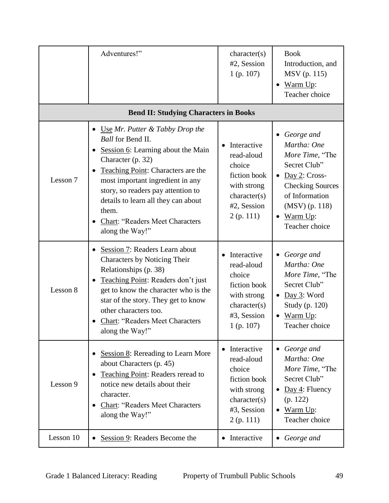|           | Adventures!"                                                                                                                                                                                                                                                                                                                                                                                     | character(s)<br>#2, Session<br>$1$ (p. 107)                                                                       | <b>Book</b><br>Introduction, and<br>MSV (p. 115)<br>Warm Up:<br>Teacher choice                                                                                                                      |
|-----------|--------------------------------------------------------------------------------------------------------------------------------------------------------------------------------------------------------------------------------------------------------------------------------------------------------------------------------------------------------------------------------------------------|-------------------------------------------------------------------------------------------------------------------|-----------------------------------------------------------------------------------------------------------------------------------------------------------------------------------------------------|
|           | <b>Bend II: Studying Characters in Books</b>                                                                                                                                                                                                                                                                                                                                                     |                                                                                                                   |                                                                                                                                                                                                     |
| Lesson 7  | Use $Mr$ . Putter $\&$ Tabby Drop the<br>$\bullet$<br><b>Ball</b> for Bend II.<br>Session 6: Learning about the Main<br>$\bullet$<br>Character (p. 32)<br>Teaching Point: Characters are the<br>$\bullet$<br>most important ingredient in any<br>story, so readers pay attention to<br>details to learn all they can about<br>them.<br><b>Chart: "Readers Meet Characters</b><br>along the Way!" | Interactive<br>read-aloud<br>choice<br>fiction book<br>with strong<br>character(s)<br>#2, Session<br>2(p. 111)    | George and<br>Martha: One<br>More Time, "The<br>Secret Club"<br>Day 2: Cross-<br>$\bullet$<br><b>Checking Sources</b><br>of Information<br>$(MSV)$ (p. 118)<br>$\bullet$ Warm Up:<br>Teacher choice |
| Lesson 8  | Session 7: Readers Learn about<br>$\bullet$<br><b>Characters by Noticing Their</b><br>Relationships (p. 38)<br>Teaching Point: Readers don't just<br>$\bullet$<br>get to know the character who is the<br>star of the story. They get to know<br>other characters too.<br><b>Chart: "Readers Meet Characters</b><br>along the Way!"                                                              | Interactive<br>read-aloud<br>choice<br>fiction book<br>with strong<br>character(s)<br>#3, Session<br>$1$ (p. 107) | • George and<br>Martha: One<br>More Time, "The<br>Secret Club"<br>$\bullet$ Day 3: Word<br>Study (p. 120)<br>$\bullet$ Warm Up:<br>Teacher choice                                                   |
| Lesson 9  | Session 8: Rereading to Learn More<br>٠<br>about Characters (p. 45)<br>Teaching Point: Readers reread to<br>$\bullet$<br>notice new details about their<br>character.<br><b>Chart: "Readers Meet Characters</b><br>along the Way!"                                                                                                                                                               | Interactive<br>read-aloud<br>choice<br>fiction book<br>with strong<br>character(s)<br>#3, Session<br>2(p. 111)    | • George and<br>Martha: One<br>More Time, "The<br>Secret Club"<br>$Day 4$ : Fluency<br>$\bullet$<br>(p. 122)<br>Warm Up:<br>$\bullet$<br>Teacher choice                                             |
| Lesson 10 | Session 9: Readers Become the                                                                                                                                                                                                                                                                                                                                                                    | • Interactive                                                                                                     | • George and                                                                                                                                                                                        |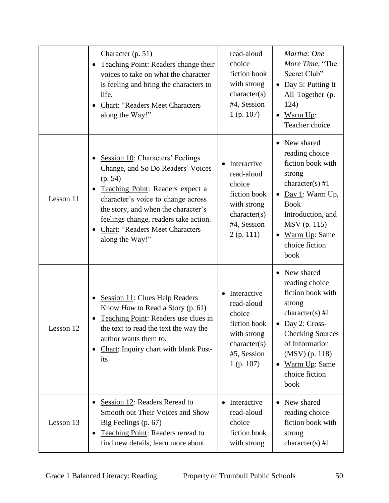|           | Character (p. 51)<br>Teaching Point: Readers change their<br>voices to take on what the character<br>is feeling and bring the characters to<br>life.<br><b>Chart: "Readers Meet Characters</b><br>٠<br>along the Way!"                                                                                               | read-aloud<br>choice<br>fiction book<br>with strong<br>character(s)<br>#4, Session<br>$1$ (p. 107)                | Martha: One<br>More Time, "The<br>Secret Club"<br>• Day 5: Putting It<br>All Together (p.<br>124)<br>$\bullet$ Warm Up:<br>Teacher choice                                                                                                 |
|-----------|----------------------------------------------------------------------------------------------------------------------------------------------------------------------------------------------------------------------------------------------------------------------------------------------------------------------|-------------------------------------------------------------------------------------------------------------------|-------------------------------------------------------------------------------------------------------------------------------------------------------------------------------------------------------------------------------------------|
| Lesson 11 | Session 10: Characters' Feelings<br>Change, and So Do Readers' Voices<br>(p. 54)<br>Teaching Point: Readers expect a<br>$\bullet$<br>character's voice to change across<br>the story, and when the character's<br>feelings change, readers take action.<br><b>Chart: "Readers Meet Characters</b><br>along the Way!" | Interactive<br>read-aloud<br>choice<br>fiction book<br>with strong<br>character(s)<br>#4, Session<br>2(p. 111)    | New shared<br>reading choice<br>fiction book with<br>strong<br>character(s) $#1$<br>Day 1: Warm Up,<br>$\bullet$<br><b>Book</b><br>Introduction, and<br>MSV (p. 115)<br>Warm Up: Same<br>$\bullet$<br>choice fiction<br>book              |
| Lesson 12 | Session 11: Clues Help Readers<br>$\bullet$<br>Know How to Read a Story (p. 61)<br>Teaching Point: Readers use clues in<br>the text to read the text the way the<br>author wants them to.<br>Chart: Inquiry chart with blank Post-<br>$\bullet$<br>its                                                               | Interactive<br>read-aloud<br>choice<br>fiction book<br>with strong<br>character(s)<br>#5, Session<br>$1$ (p. 107) | • New shared<br>reading choice<br>fiction book with<br>strong<br>character(s) $#1$<br>$Day 2: Cross-$<br>$\bullet$<br><b>Checking Sources</b><br>of Information<br>(MSV) (p. 118)<br>Warm Up: Same<br>$\bullet$<br>choice fiction<br>book |
| Lesson 13 | Session 12: Readers Reread to<br>٠<br>Smooth out Their Voices and Show<br>Big Feelings (p. 67)<br>Teaching Point: Readers reread to<br>٠<br>find new details, learn more about                                                                                                                                       | • Interactive<br>read-aloud<br>choice<br>fiction book<br>with strong                                              | New shared<br>$\bullet$<br>reading choice<br>fiction book with<br>strong<br>character(s) #1                                                                                                                                               |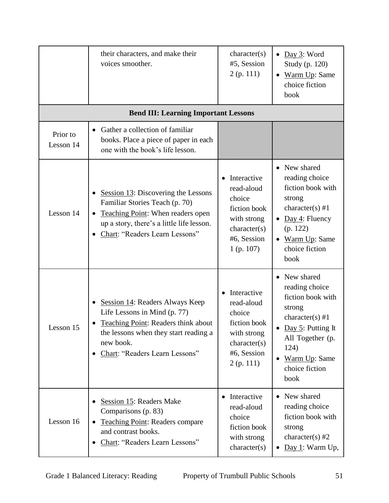|                       | their characters, and make their<br>voices smoother.                                                                                                                                                  | character(s)<br>#5, Session<br>2(p. 111)                                                                          | Day 3: Word<br>$\bullet$<br>Study (p. 120)<br>Warm Up: Same<br>$\bullet$<br>choice fiction<br>book                                                                                      |
|-----------------------|-------------------------------------------------------------------------------------------------------------------------------------------------------------------------------------------------------|-------------------------------------------------------------------------------------------------------------------|-----------------------------------------------------------------------------------------------------------------------------------------------------------------------------------------|
|                       | <b>Bend III: Learning Important Lessons</b>                                                                                                                                                           |                                                                                                                   |                                                                                                                                                                                         |
| Prior to<br>Lesson 14 | Gather a collection of familiar<br>$\bullet$<br>books. Place a piece of paper in each<br>one with the book's life lesson.                                                                             |                                                                                                                   |                                                                                                                                                                                         |
| Lesson 14             | Session $13$ : Discovering the Lessons<br>Familiar Stories Teach (p. 70)<br>Teaching Point: When readers open<br>up a story, there's a little life lesson.<br>Chart: "Readers Learn Lessons"          | Interactive<br>read-aloud<br>choice<br>fiction book<br>with strong<br>character(s)<br>#6, Session<br>$1$ (p. 107) | • New shared<br>reading choice<br>fiction book with<br>strong<br>character(s) #1<br>Day 4: Fluency<br>(p. 122)<br>Warm Up: Same<br>$\bullet$<br>choice fiction<br>book                  |
| Lesson 15             | Session 14: Readers Always Keep<br>Life Lessons in Mind (p. 77)<br><b>Teaching Point: Readers think about</b><br>the lessons when they start reading a<br>new book.<br>Chart: "Readers Learn Lessons" | Interactive<br>read-aloud<br>choice<br>fiction book<br>with strong<br>character(s)<br>#6, Session<br>2(p. 111)    | New shared<br>reading choice<br>fiction book with<br>strong<br>character(s) #1<br>Day 5: Putting It<br>All Together (p.<br>124)<br>Warm Up: Same<br>$\bullet$<br>choice fiction<br>book |
| Lesson 16             | Session 15: Readers Make<br>Comparisons (p. 83)<br><b>Teaching Point: Readers compare</b><br>and contrast books.<br>Chart: "Readers Learn Lessons"                                                    | Interactive<br>$\bullet$<br>read-aloud<br>choice<br>fiction book<br>with strong<br>character(s)                   | New shared<br>$\bullet$<br>reading choice<br>fiction book with<br>strong<br>character(s) $#2$<br>$Day 1$ : Warm Up,<br>$\bullet$                                                        |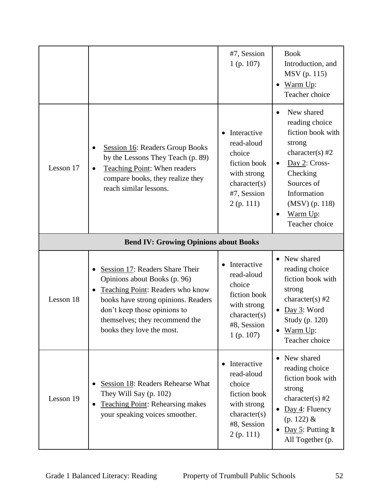|           |                                                                                                                                                                                                                                                        | #7, Session<br>$1$ (p. 107)                                                                                       | <b>Book</b><br>Introduction, and<br>MSV (p. 115)<br>Warm Up:<br>Teacher choice                                                                                                                                                      |
|-----------|--------------------------------------------------------------------------------------------------------------------------------------------------------------------------------------------------------------------------------------------------------|-------------------------------------------------------------------------------------------------------------------|-------------------------------------------------------------------------------------------------------------------------------------------------------------------------------------------------------------------------------------|
| Lesson 17 | <b>Session 16: Readers Group Books</b><br>by the Lessons They Teach (p. 89)<br>Teaching Point: When readers<br>$\bullet$<br>compare books, they realize they<br>reach similar lessons.                                                                 | Interactive<br>read-aloud<br>choice<br>fiction book<br>with strong<br>character(s)<br>#7, Session<br>2(p. 111)    | New shared<br>$\bullet$<br>reading choice<br>fiction book with<br>strong<br>character(s) $#2$<br>Day 2: Cross-<br>$\bullet$<br>Checking<br>Sources of<br>Information<br>$(MSV)$ (p. 118)<br>Warm Up:<br>$\bullet$<br>Teacher choice |
|           | <b>Bend IV: Growing Opinions about Books</b>                                                                                                                                                                                                           |                                                                                                                   |                                                                                                                                                                                                                                     |
| Lesson 18 | Session 17: Readers Share Their<br>Opinions about Books (p. 96)<br>Teaching Point: Readers who know<br>$\bullet$<br>books have strong opinions. Readers<br>don't keep those opinions to<br>themselves; they recommend the<br>books they love the most. | Interactive<br>read-aloud<br>choice<br>fiction book<br>with strong<br>character(s)<br>#8, Session<br>$1$ (p. 107) | • New shared<br>reading choice<br>fiction book with<br>strong<br>character(s) $#2$<br>$\bullet$ Day 3: Word<br>Study (p. 120)<br>Warm Up:<br>Teacher choice                                                                         |
| Lesson 19 | Session 18: Readers Rehearse What<br>They Will Say (p. 102)<br><b>Teaching Point: Rehearsing makes</b><br>your speaking voices smoother.                                                                                                               | Interactive<br>read-aloud<br>choice<br>fiction book<br>with strong<br>character(s)<br>#8, Session<br>2(p. 111)    | New shared<br>reading choice<br>fiction book with<br>strong<br>character(s) $#2$<br>Day 4: Fluency<br>$(p. 122)$ &<br>Day 5: Putting It<br>All Together (p.                                                                         |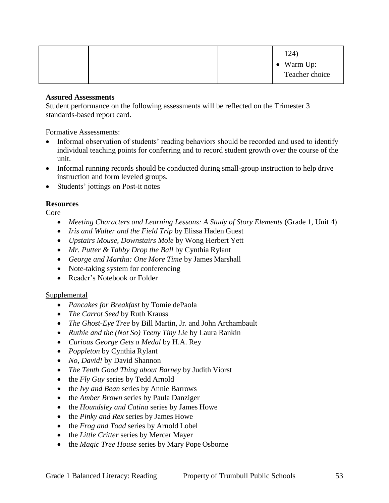Student performance on the following assessments will be reflected on the Trimester 3 standards-based report card.

Formative Assessments:

- Informal observation of students' reading behaviors should be recorded and used to identify individual teaching points for conferring and to record student growth over the course of the unit.
- Informal running records should be conducted during small-group instruction to help drive instruction and form leveled groups.
- Students' jottings on Post-it notes

## **Resources**

Core

- Meeting Characters and Learning Lessons: A Study of Story Elements (Grade 1, Unit 4)
- *Iris and Walter and the Field Trip* by Elissa Haden Guest
- *Upstairs Mouse, Downstairs Mole* by Wong Herbert Yett
- *Mr. Putter & Tabby Drop the Ball* by Cynthia Rylant
- *George and Martha: One More Time* by James Marshall
- Note-taking system for conferencing
- Reader's Notebook or Folder

## Supplemental

- *Pancakes for Breakfast* by Tomie dePaola
- *The Carrot Seed* by Ruth Krauss
- *The Ghost-Eye Tree* by Bill Martin, Jr. and John Archambault
- *Ruthie and the (Not So) Teeny Tiny Lie* by Laura Rankin
- *Curious George Gets a Medal* by H.A. Rey
- *Poppleton* by Cynthia Rylant
- *No, David!* by David Shannon
- *The Tenth Good Thing about Barney* by Judith Viorst
- the *Fly Guy* series by Tedd Arnold
- the *Ivy and Bean* series by Annie Barrows
- the *Amber Brown* series by Paula Danziger
- the *Houndsley and Catina* series by James Howe
- the *Pinky and Rex* series by James Howe
- the *Frog and Toad series* by Arnold Lobel
- the *Little Critter* series by Mercer Mayer
- the *Magic Tree House* series by Mary Pope Osborne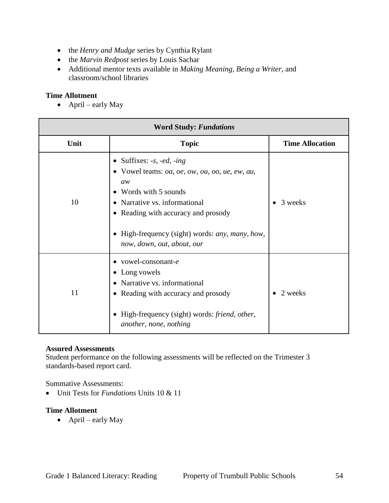- the *Henry and Mudge* series by Cynthia Rylant
- the *Marvin Redpost* series by Louis Sachar
- Additional mentor texts available in *Making Meaning*, *Being a Writer*, and classroom/school libraries

#### **Time Allotment**

 $\bullet$  April – early May

| <b>Word Study: Fundations</b> |                                                                                                                                                                                                                                                                                                                                                  |                        |
|-------------------------------|--------------------------------------------------------------------------------------------------------------------------------------------------------------------------------------------------------------------------------------------------------------------------------------------------------------------------------------------------|------------------------|
| Unit                          | <b>Topic</b>                                                                                                                                                                                                                                                                                                                                     | <b>Time Allocation</b> |
| 10                            | • Suffixes: $-s$ , $-ed$ , $-ing$<br>• Vowel teams: <i>oa</i> , <i>oe</i> , <i>ow</i> , <i>ou</i> , <i>oo</i> , <i>ue</i> , <i>ew</i> , <i>au</i> ,<br>aw<br>Words with 5 sounds<br>Narrative vs. informational<br>Reading with accuracy and prosody<br>$\bullet$<br>High-frequency (sight) words: any, many, how,<br>now, down, out, about, our | 3 weeks                |
| 11                            | vowel-consonant-e<br>Long vowels<br>Narrative vs. informational<br>Reading with accuracy and prosody<br>$\bullet$<br>High-frequency (sight) words: friend, other,<br>another, none, nothing                                                                                                                                                      | 2 weeks                |

#### **Assured Assessments**

Student performance on the following assessments will be reflected on the Trimester 3 standards-based report card.

Summative Assessments:

Unit Tests for *Fundations* Units 10 & 11

#### **Time Allotment**

 $\bullet$  April – early May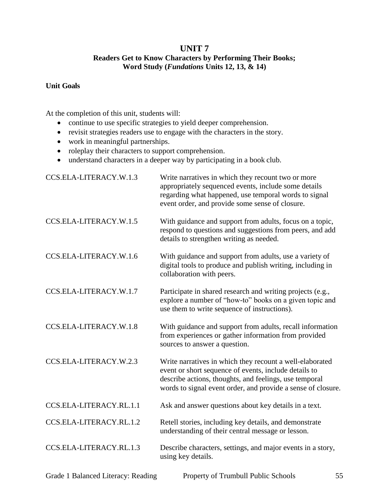## **UNIT 7 Readers Get to Know Characters by Performing Their Books; Word Study (***Fundations* **Units 12, 13, & 14)**

## **Unit Goals**

- continue to use specific strategies to yield deeper comprehension.
- revisit strategies readers use to engage with the characters in the story.
- work in meaningful partnerships.
- roleplay their characters to support comprehension.
- understand characters in a deeper way by participating in a book club.

| CCS.ELA-LITERACY.W.1.3  | Write narratives in which they recount two or more<br>appropriately sequenced events, include some details<br>regarding what happened, use temporal words to signal<br>event order, and provide some sense of closure.                      |
|-------------------------|---------------------------------------------------------------------------------------------------------------------------------------------------------------------------------------------------------------------------------------------|
| CCS.ELA-LITERACY.W.1.5  | With guidance and support from adults, focus on a topic,<br>respond to questions and suggestions from peers, and add<br>details to strengthen writing as needed.                                                                            |
| CCS.ELA-LITERACY.W.1.6  | With guidance and support from adults, use a variety of<br>digital tools to produce and publish writing, including in<br>collaboration with peers.                                                                                          |
| CCS.ELA-LITERACY.W.1.7  | Participate in shared research and writing projects (e.g.,<br>explore a number of "how-to" books on a given topic and<br>use them to write sequence of instructions).                                                                       |
| CCS.ELA-LITERACY.W.1.8  | With guidance and support from adults, recall information<br>from experiences or gather information from provided<br>sources to answer a question.                                                                                          |
| CCS.ELA-LITERACY.W.2.3  | Write narratives in which they recount a well-elaborated<br>event or short sequence of events, include details to<br>describe actions, thoughts, and feelings, use temporal<br>words to signal event order, and provide a sense of closure. |
| CCS.ELA-LITERACY.RL.1.1 | Ask and answer questions about key details in a text.                                                                                                                                                                                       |
| CCS.ELA-LITERACY.RL.1.2 | Retell stories, including key details, and demonstrate<br>understanding of their central message or lesson.                                                                                                                                 |
| CCS.ELA-LITERACY.RL.1.3 | Describe characters, settings, and major events in a story,<br>using key details.                                                                                                                                                           |
|                         |                                                                                                                                                                                                                                             |

| Grade 1 Balanced Literacy: Reading | Property of Trumbull Public Schools | 55 |
|------------------------------------|-------------------------------------|----|
|------------------------------------|-------------------------------------|----|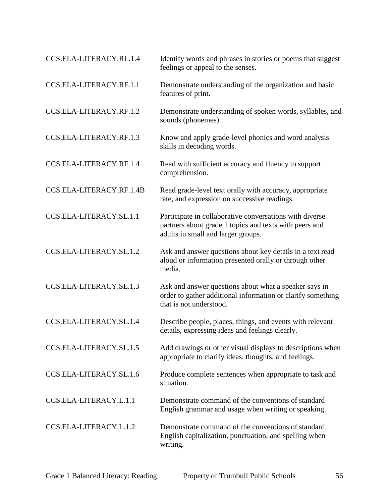| CCS.ELA-LITERACY.RL.1.4  | Identify words and phrases in stories or poems that suggest<br>feelings or appeal to the senses.                                                        |
|--------------------------|---------------------------------------------------------------------------------------------------------------------------------------------------------|
| CCS.ELA-LITERACY.RF.1.1  | Demonstrate understanding of the organization and basic<br>features of print.                                                                           |
| CCS.ELA-LITERACY.RF.1.2  | Demonstrate understanding of spoken words, syllables, and<br>sounds (phonemes).                                                                         |
| CCS.ELA-LITERACY.RF.1.3  | Know and apply grade-level phonics and word analysis<br>skills in decoding words.                                                                       |
| CCS.ELA-LITERACY.RF.1.4  | Read with sufficient accuracy and fluency to support<br>comprehension.                                                                                  |
| CCS.ELA-LITERACY.RF.1.4B | Read grade-level text orally with accuracy, appropriate<br>rate, and expression on successive readings.                                                 |
| CCS.ELA-LITERACY.SL.1.1  | Participate in collaborative conversations with diverse<br>partners about grade 1 topics and texts with peers and<br>adults in small and larger groups. |
| CCS.ELA-LITERACY.SL.1.2  | Ask and answer questions about key details in a text read<br>aloud or information presented orally or through other<br>media.                           |
| CCS.ELA-LITERACY.SL.1.3  | Ask and answer questions about what a speaker says in<br>order to gather additional information or clarify something<br>that is not understood.         |
| CCS.ELA-LITERACY.SL.1.4  | Describe people, places, things, and events with relevant<br>details, expressing ideas and feelings clearly.                                            |
| CCS.ELA-LITERACY.SL.1.5  | Add drawings or other visual displays to descriptions when<br>appropriate to clarify ideas, thoughts, and feelings.                                     |
| CCS.ELA-LITERACY.SL.1.6  | Produce complete sentences when appropriate to task and<br>situation.                                                                                   |
| CCS.ELA-LITERACY.L.1.1   | Demonstrate command of the conventions of standard<br>English grammar and usage when writing or speaking.                                               |
| CCS.ELA-LITERACY.L.1.2   | Demonstrate command of the conventions of standard<br>English capitalization, punctuation, and spelling when<br>writing.                                |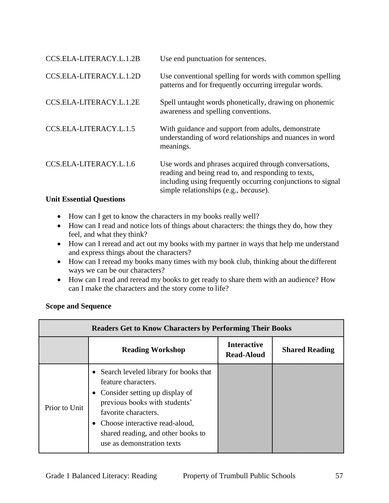| CCS.ELA-LITERACY.L.1.2B | Use end punctuation for sentences.                                                                                                                                                                                           |
|-------------------------|------------------------------------------------------------------------------------------------------------------------------------------------------------------------------------------------------------------------------|
| CCS.ELA-LITERACY.L.1.2D | Use conventional spelling for words with common spelling<br>patterns and for frequently occurring irregular words.                                                                                                           |
| CCS.ELA-LITERACY.L.1.2E | Spell untaught words phonetically, drawing on phonemic<br>awareness and spelling conventions.                                                                                                                                |
| CCS.ELA-LITERACY.L.1.5  | With guidance and support from adults, demonstrate<br>understanding of word relationships and nuances in word<br>meanings.                                                                                                   |
| CCS.ELA-LITERACY.L.1.6  | Use words and phrases acquired through conversations,<br>reading and being read to, and responding to texts,<br>including using frequently occurring conjunctions to signal<br>simple relationships (e.g., <i>because</i> ). |

## **Unit Essential Questions**

- How can I get to know the characters in my books really well?
- How can I read and notice lots of things about characters: the things they do, how they feel, and what they think?
- How can I reread and act out my books with my partner in ways that help me understand and express things about the characters?
- How can I reread my books many times with my book club, thinking about the different ways we can be our characters?
- How can I read and reread my books to get ready to share them with an audience? How can I make the characters and the story come to life?

## **Scope and Sequence**

| <b>Readers Get to Know Characters by Performing Their Books</b> |                                                                                                                                                                                                                                                                     |                                         |                       |
|-----------------------------------------------------------------|---------------------------------------------------------------------------------------------------------------------------------------------------------------------------------------------------------------------------------------------------------------------|-----------------------------------------|-----------------------|
|                                                                 | <b>Reading Workshop</b>                                                                                                                                                                                                                                             | <b>Interactive</b><br><b>Read-Aloud</b> | <b>Shared Reading</b> |
| Prior to Unit                                                   | • Search leveled library for books that<br>feature characters.<br>• Consider setting up display of<br>previous books with students'<br>favorite characters.<br>• Choose interactive read-aloud,<br>shared reading, and other books to<br>use as demonstration texts |                                         |                       |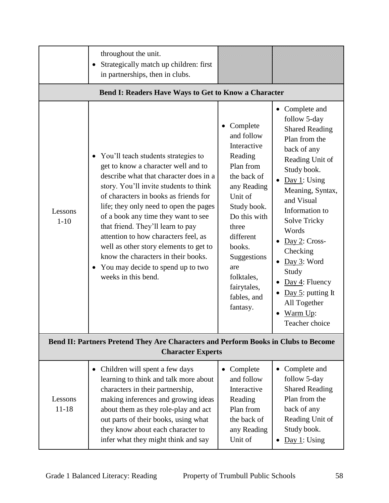|                                                                                                                | throughout the unit.<br>Strategically match up children: first<br>$\bullet$<br>in partnerships, then in clubs.                                                                                                                                                                                                                                                                                                                                                                                                                               |                                                                                                                                                                                                                                                     |                                                                                                                                                                                                                                                                                                                                                                                                                                  |
|----------------------------------------------------------------------------------------------------------------|----------------------------------------------------------------------------------------------------------------------------------------------------------------------------------------------------------------------------------------------------------------------------------------------------------------------------------------------------------------------------------------------------------------------------------------------------------------------------------------------------------------------------------------------|-----------------------------------------------------------------------------------------------------------------------------------------------------------------------------------------------------------------------------------------------------|----------------------------------------------------------------------------------------------------------------------------------------------------------------------------------------------------------------------------------------------------------------------------------------------------------------------------------------------------------------------------------------------------------------------------------|
|                                                                                                                | <b>Bend I: Readers Have Ways to Get to Know a Character</b>                                                                                                                                                                                                                                                                                                                                                                                                                                                                                  |                                                                                                                                                                                                                                                     |                                                                                                                                                                                                                                                                                                                                                                                                                                  |
| Lessons<br>$1 - 10$                                                                                            | You'll teach students strategies to<br>$\bullet$<br>get to know a character well and to<br>describe what that character does in a<br>story. You'll invite students to think<br>of characters in books as friends for<br>life; they only need to open the pages<br>of a book any time they want to see<br>that friend. They'll learn to pay<br>attention to how characters feel, as<br>well as other story elements to get to<br>know the characters in their books.<br>You may decide to spend up to two<br>$\bullet$<br>weeks in this bend. | Complete<br>and follow<br>Interactive<br>Reading<br>Plan from<br>the back of<br>any Reading<br>Unit of<br>Study book.<br>Do this with<br>three<br>different<br>books.<br>Suggestions<br>are<br>folktales,<br>fairytales,<br>fables, and<br>fantasy. | • Complete and<br>follow 5-day<br><b>Shared Reading</b><br>Plan from the<br>back of any<br>Reading Unit of<br>Study book.<br>Day 1: Using<br>$\bullet$<br>Meaning, Syntax,<br>and Visual<br>Information to<br><b>Solve Tricky</b><br>Words<br>$Day 2: Cross-$<br>Checking<br>Day 3: Word<br>$\bullet$<br>Study<br>$Day 4$ : Fluency<br>$\bullet$<br>Day 5: putting It<br>$\bullet$<br>All Together<br>Warm Up:<br>Teacher choice |
| Bend II: Partners Pretend They Are Characters and Perform Books in Clubs to Become<br><b>Character Experts</b> |                                                                                                                                                                                                                                                                                                                                                                                                                                                                                                                                              |                                                                                                                                                                                                                                                     |                                                                                                                                                                                                                                                                                                                                                                                                                                  |
| Lessons<br>$11 - 18$                                                                                           | • Children will spent a few days<br>learning to think and talk more about<br>characters in their partnership,<br>making inferences and growing ideas<br>about them as they role-play and act<br>out parts of their books, using what<br>they know about each character to<br>infer what they might think and say                                                                                                                                                                                                                             | Complete<br>$\bullet$<br>and follow<br>Interactive<br>Reading<br>Plan from<br>the back of<br>any Reading<br>Unit of                                                                                                                                 | Complete and<br>$\bullet$<br>follow 5-day<br><b>Shared Reading</b><br>Plan from the<br>back of any<br>Reading Unit of<br>Study book.<br>Day 1: Using<br>$\bullet$                                                                                                                                                                                                                                                                |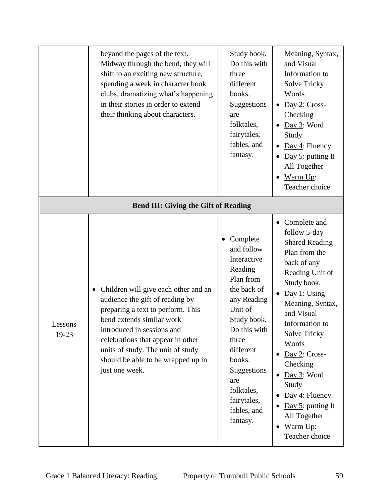|                  | beyond the pages of the text.<br>Midway through the bend, they will<br>shift to an exciting new structure,<br>spending a week in character book<br>clubs, dramatizing what's happening<br>in their stories in order to extend<br>their thinking about characters.                                                                                                     | Study book.<br>Do this with<br>three<br>different<br>books.<br>Suggestions<br>are<br>folktales,<br>fairytales,<br>fables, and<br>fantasy.                                                                                                           | Meaning, Syntax,<br>and Visual<br>Information to<br><b>Solve Tricky</b><br>Words<br>$Day 2: Cross-$<br>Checking<br>Day 3: Word<br>Study<br>$Day 4$ : Fluency<br>Day 5: putting It<br>All Together<br>Warm Up:<br>Teacher choice                                                                                                                                                                                                  |
|------------------|-----------------------------------------------------------------------------------------------------------------------------------------------------------------------------------------------------------------------------------------------------------------------------------------------------------------------------------------------------------------------|-----------------------------------------------------------------------------------------------------------------------------------------------------------------------------------------------------------------------------------------------------|----------------------------------------------------------------------------------------------------------------------------------------------------------------------------------------------------------------------------------------------------------------------------------------------------------------------------------------------------------------------------------------------------------------------------------|
| Lessons<br>19-23 | <b>Bend III: Giving the Gift of Reading</b><br>Children will give each other and an<br>$\bullet$<br>audience the gift of reading by<br>preparing a text to perform. This<br>bend extends similar work<br>introduced in sessions and<br>celebrations that appear in other<br>units of study. The unit of study<br>should be able to be wrapped up in<br>just one week. | Complete<br>and follow<br>Interactive<br>Reading<br>Plan from<br>the back of<br>any Reading<br>Unit of<br>Study book.<br>Do this with<br>three<br>different<br>books.<br>Suggestions<br>are<br>folktales,<br>fairytales,<br>fables, and<br>fantasy. | • Complete and<br>follow 5-day<br><b>Shared Reading</b><br>Plan from the<br>back of any<br>Reading Unit of<br>Study book.<br>Day 1: Using<br>$\bullet$<br>Meaning, Syntax,<br>and Visual<br>Information to<br><b>Solve Tricky</b><br>Words<br>$\underline{Day 2}$ : Cross-<br>Checking<br>Day 3: Word<br>$\bullet$<br>Study<br>$Day 4$ : Fluency<br>Day 5: putting It<br>All Together<br>Warm Up:<br>$\bullet$<br>Teacher choice |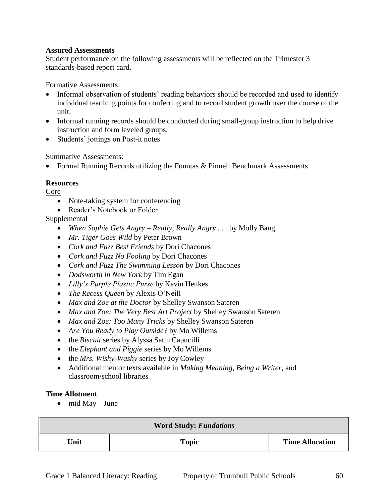Student performance on the following assessments will be reflected on the Trimester 3 standards-based report card.

Formative Assessments:

- Informal observation of students' reading behaviors should be recorded and used to identify individual teaching points for conferring and to record student growth over the course of the unit.
- Informal running records should be conducted during small-group instruction to help drive instruction and form leveled groups.
- Students' jottings on Post-it notes

Summative Assessments:

Formal Running Records utilizing the Fountas & Pinnell Benchmark Assessments

## **Resources**

Core

- Note-taking system for conferencing
- Reader's Notebook or Folder

## Supplemental

- *When Sophie Gets Angry – Really, Really Angry . . .* by Molly Bang
- *Mr. Tiger Goes Wild* by Peter Brown
- *Cork and Fuzz Best Friends* by Dori Chacones
- *Cork and Fuzz No Fooling* by Dori Chacones
- *Cork and Fuzz The Swimming Lesson* by Dori Chacones
- *Dodsworth in New York* by Tim Egan
- *Lilly's Purple Plastic Purse* by Kevin Henkes
- *The Recess Queen* by Alexis O'Neill
- *Max and Zoe at the Doctor* by Shelley Swanson Sateren
- *Max and Zoe: The Very Best Art Project* by Shelley Swanson Sateren
- *Max and Zoe: Too Many Tricks* by Shelley Swanson Sateren
- *Are You Ready to Play Outside?* by Mo Willems
- the *Biscuit* series by Alyssa Satin Capucilli
- the *Elephant and Piggie* series by Mo Willems
- the *Mrs. Wishy-Washy* series by Joy Cowley
- Additional mentor texts available in *Making Meaning*, *Being a Writer*, and classroom/school libraries

#### **Time Allotment**

 $\bullet$  mid May – June

| <b>Word Study: Fundations</b> |              |                        |  |
|-------------------------------|--------------|------------------------|--|
| Unit                          | <b>Topic</b> | <b>Time Allocation</b> |  |